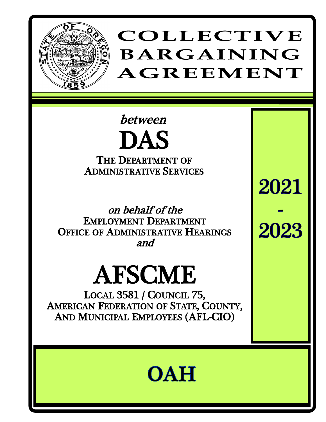

## COLLECTIVE **BARGAINING** AGREEMENT

2021

2023

### between DAS THE DEPARTMENT OF ADMINISTRATIVE SERVICES

on behalf of the EMPLOYMENT DEPARTMENT OFFICE OF ADMINISTRATIVE HEARINGS and

# AFSCME

LOCAL 3581 / COUNCIL 75, AMERICAN FEDERATION OF STATE, COUNTY, AND MUNICIPAL EMPLOYEES (AFL-CIO)

# **OAH**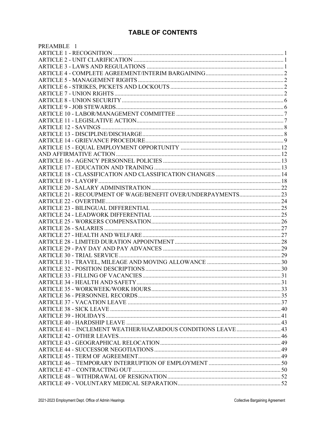#### **TABLE OF CONTENTS**

| PREAMBLE 1                                                    |  |
|---------------------------------------------------------------|--|
|                                                               |  |
|                                                               |  |
|                                                               |  |
|                                                               |  |
|                                                               |  |
|                                                               |  |
|                                                               |  |
|                                                               |  |
|                                                               |  |
|                                                               |  |
|                                                               |  |
|                                                               |  |
|                                                               |  |
|                                                               |  |
|                                                               |  |
|                                                               |  |
|                                                               |  |
|                                                               |  |
|                                                               |  |
|                                                               |  |
|                                                               |  |
|                                                               |  |
|                                                               |  |
|                                                               |  |
|                                                               |  |
|                                                               |  |
|                                                               |  |
|                                                               |  |
|                                                               |  |
|                                                               |  |
|                                                               |  |
|                                                               |  |
|                                                               |  |
|                                                               |  |
|                                                               |  |
|                                                               |  |
|                                                               |  |
|                                                               |  |
|                                                               |  |
|                                                               |  |
|                                                               |  |
|                                                               |  |
| ARTICLE 41 - INCLEMENT WEATHER/HAZARDOUS CONDITIONS LEAVE  43 |  |
|                                                               |  |
|                                                               |  |
|                                                               |  |
|                                                               |  |
|                                                               |  |
|                                                               |  |
|                                                               |  |
|                                                               |  |
|                                                               |  |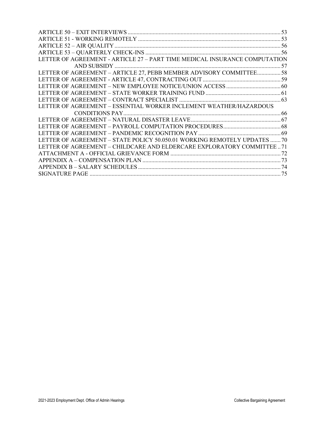| LETTER OF AGREEMENT - ARTICLE 27 - PART TIME MEDICAL INSURANCE COMPUTATION |  |
|----------------------------------------------------------------------------|--|
|                                                                            |  |
| LETTER OF AGREEMENT - ARTICLE 27, PEBB MEMBER ADVISORY COMMITTEE 58        |  |
|                                                                            |  |
|                                                                            |  |
|                                                                            |  |
|                                                                            |  |
| LETTER OF AGREEMENT – ESSENTIAL WORKER INCLEMENT WEATHER/HAZARDOUS         |  |
|                                                                            |  |
|                                                                            |  |
|                                                                            |  |
|                                                                            |  |
| LETTER OF AGREEMENT – STATE POLICY 50.050.01 WORKING REMOTELY UPDATES  70  |  |
| LETTER OF AGREEMENT – CHILDCARE AND ELDERCARE EXPLORATORY COMMITTEE71      |  |
|                                                                            |  |
|                                                                            |  |
|                                                                            |  |
|                                                                            |  |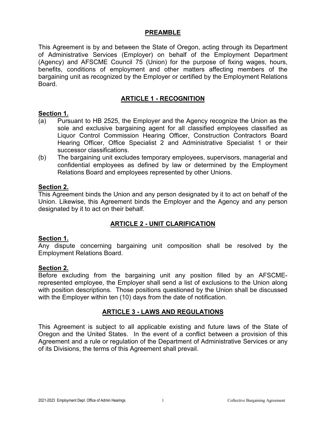#### **PREAMBLE**

<span id="page-3-0"></span>This Agreement is by and between the State of Oregon, acting through its Department of Administrative Services (Employer) on behalf of the Employment Department (Agency) and AFSCME Council 75 (Union) for the purpose of fixing wages, hours, benefits, conditions of employment and other matters affecting members of the bargaining unit as recognized by the Employer or certified by the Employment Relations Board.

#### **ARTICLE 1 - RECOGNITION**

#### <span id="page-3-1"></span>**Section 1.**

- (a) Pursuant to HB 2525, the Employer and the Agency recognize the Union as the sole and exclusive bargaining agent for all classified employees classified as Liquor Control Commission Hearing Officer, Construction Contractors Board Hearing Officer, Office Specialist 2 and Administrative Specialist 1 or their successor classifications.
- (b) The bargaining unit excludes temporary employees, supervisors, managerial and confidential employees as defined by law or determined by the Employment Relations Board and employees represented by other Unions.

#### **Section 2.**

This Agreement binds the Union and any person designated by it to act on behalf of the Union. Likewise, this Agreement binds the Employer and the Agency and any person designated by it to act on their behalf.

#### **ARTICLE 2 - UNIT CLARIFICATION**

#### <span id="page-3-2"></span>**Section 1.**

Any dispute concerning bargaining unit composition shall be resolved by the Employment Relations Board.

#### **Section 2.**

Before excluding from the bargaining unit any position filled by an AFSCMErepresented employee, the Employer shall send a list of exclusions to the Union along with position descriptions. Those positions questioned by the Union shall be discussed with the Employer within ten (10) days from the date of notification.

#### **ARTICLE 3 - LAWS AND REGULATIONS**

<span id="page-3-4"></span><span id="page-3-3"></span>This Agreement is subject to all applicable existing and future laws of the State of Oregon and the United States. In the event of a conflict between a provision of this Agreement and a rule or regulation of the Department of Administrative Services or any of its Divisions, the terms of this Agreement shall prevail.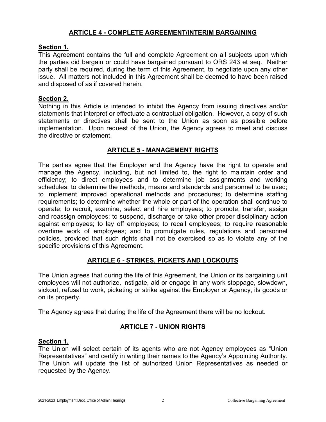#### **ARTICLE 4 - COMPLETE AGREEMENT/INTERIM BARGAINING**

#### <span id="page-4-0"></span>**Section 1.**

This Agreement contains the full and complete Agreement on all subjects upon which the parties did bargain or could have bargained pursuant to ORS 243 et seq. Neither party shall be required, during the term of this Agreement, to negotiate upon any other issue. All matters not included in this Agreement shall be deemed to have been raised and disposed of as if covered herein.

#### **Section 2.**

Nothing in this Article is intended to inhibit the Agency from issuing directives and/or statements that interpret or effectuate a contractual obligation. However, a copy of such statements or directives shall be sent to the Union as soon as possible before implementation. Upon request of the Union, the Agency agrees to meet and discuss the directive or statement.

#### **ARTICLE 5 - MANAGEMENT RIGHTS**

<span id="page-4-1"></span>The parties agree that the Employer and the Agency have the right to operate and manage the Agency, including, but not limited to, the right to maintain order and efficiency; to direct employees and to determine job assignments and working schedules; to determine the methods, means and standards and personnel to be used; to implement improved operational methods and procedures; to determine staffing requirements; to determine whether the whole or part of the operation shall continue to operate; to recruit, examine, select and hire employees; to promote, transfer, assign and reassign employees; to suspend, discharge or take other proper disciplinary action against employees; to lay off employees; to recall employees; to require reasonable overtime work of employees; and to promulgate rules, regulations and personnel policies, provided that such rights shall not be exercised so as to violate any of the specific provisions of this Agreement.

#### **ARTICLE 6 - STRIKES, PICKETS AND LOCKOUTS**

<span id="page-4-2"></span>The Union agrees that during the life of this Agreement, the Union or its bargaining unit employees will not authorize, instigate, aid or engage in any work stoppage, slowdown, sickout, refusal to work, picketing or strike against the Employer or Agency, its goods or on its property.

<span id="page-4-3"></span>The Agency agrees that during the life of the Agreement there will be no lockout.

#### **ARTICLE 7 - UNION RIGHTS**

#### **Section 1.**

The Union will select certain of its agents who are not Agency employees as "Union Representatives" and certify in writing their names to the Agency's Appointing Authority. The Union will update the list of authorized Union Representatives as needed or requested by the Agency.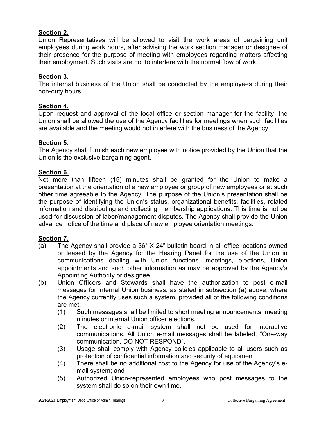#### **Section 2.**

Union Representatives will be allowed to visit the work areas of bargaining unit employees during work hours, after advising the work section manager or designee of their presence for the purpose of meeting with employees regarding matters affecting their employment. Such visits are not to interfere with the normal flow of work.

#### **Section 3.**

The internal business of the Union shall be conducted by the employees during their non-duty hours.

#### **Section 4.**

Upon request and approval of the local office or section manager for the facility, the Union shall be allowed the use of the Agency facilities for meetings when such facilities are available and the meeting would not interfere with the business of the Agency.

#### **Section 5.**

The Agency shall furnish each new employee with notice provided by the Union that the Union is the exclusive bargaining agent.

#### **Section 6.**

Not more than fifteen (15) minutes shall be granted for the Union to make a presentation at the orientation of a new employee or group of new employees or at such other time agreeable to the Agency. The purpose of the Union's presentation shall be the purpose of identifying the Union's status, organizational benefits, facilities, related information and distributing and collecting membership applications. This time is not be used for discussion of labor/management disputes. The Agency shall provide the Union advance notice of the time and place of new employee orientation meetings.

#### **Section 7.**

- (a) The Agency shall provide a 36" X 24" bulletin board in all office locations owned or leased by the Agency for the Hearing Panel for the use of the Union in communications dealing with Union functions, meetings, elections, Union appointments and such other information as may be approved by the Agency's Appointing Authority or designee.
- (b) Union Officers and Stewards shall have the authorization to post e-mail messages for internal Union business, as stated in subsection (a) above, where the Agency currently uses such a system, provided all of the following conditions are met:
	- (1) Such messages shall be limited to short meeting announcements, meeting minutes or internal Union officer elections.
	- (2) The electronic e-mail system shall not be used for interactive communications. All Union e-mail messages shall be labeled, "One-way communication, DO NOT RESPOND".
	- (3) Usage shall comply with Agency policies applicable to all users such as protection of confidential information and security of equipment.
	- (4) There shall be no additional cost to the Agency for use of the Agency's email system; and
	- (5) Authorized Union-represented employees who post messages to the system shall do so on their own time.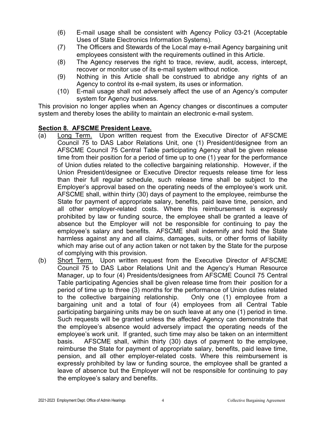- (6) E-mail usage shall be consistent with Agency Policy 03-21 (Acceptable Uses of State Electronics Information Systems).
- (7) The Officers and Stewards of the Local may e-mail Agency bargaining unit employees consistent with the requirements outlined in this Article.
- (8) The Agency reserves the right to trace, review, audit, access, intercept, recover or monitor use of its e-mail system without notice.
- (9) Nothing in this Article shall be construed to abridge any rights of an Agency to control its e-mail system, its uses or information.
- (10) E-mail usage shall not adversely affect the use of an Agency's computer system for Agency business.

This provision no longer applies when an Agency changes or discontinues a computer system and thereby loses the ability to maintain an electronic e-mail system.

#### **Section 8***.* **AFSCME President Leave***.*

- (a) Long Term. Upon written request from the Executive Director of AFSCME Council 75 to DAS Labor Relations Unit, one (1) President/designee from an AFSCME Council 75 Central Table participating Agency shall be given release time from their position for a period of time up to one (1) year for the performance of Union duties related to the collective bargaining relationship. However, if the Union President/designee or Executive Director requests release time for less than their full regular schedule, such release time shall be subject to the Employer's approval based on the operating needs of the employee's work unit. AFSCME shall, within thirty (30) days of payment to the employee, reimburse the State for payment of appropriate salary, benefits, paid leave time, pension, and all other employer-related costs. Where this reimbursement is expressly prohibited by law or funding source, the employee shall be granted a leave of absence but the Employer will not be responsible for continuing to pay the employee's salary and benefits. AFSCME shall indemnify and hold the State harmless against any and all claims, damages, suits, or other forms of liability which may arise out of any action taken or not taken by the State for the purpose of complying with this provision.
- (b) Short Term. Upon written request from the Executive Director of AFSCME Council 75 to DAS Labor Relations Unit and the Agency's Human Resource Manager, up to four (4) Presidents/designees from AFSCME Council 75 Central Table participating Agencies shall be given release time from their position for a period of time up to three (3) months for the performance of Union duties related to the collective bargaining relationship. Only one (1) employee from a bargaining unit and a total of four (4) employees from all Central Table participating bargaining units may be on such leave at any one (1) period in time. Such requests will be granted unless the affected Agency can demonstrate that the employee's absence would adversely impact the operating needs of the employee's work unit. If granted, such time may also be taken on an intermittent basis. AFSCME shall, within thirty (30) days of payment to the employee, reimburse the State for payment of appropriate salary, benefits, paid leave time, pension, and all other employer-related costs. Where this reimbursement is expressly prohibited by law or funding source, the employee shall be granted a leave of absence but the Employer will not be responsible for continuing to pay the employee's salary and benefits.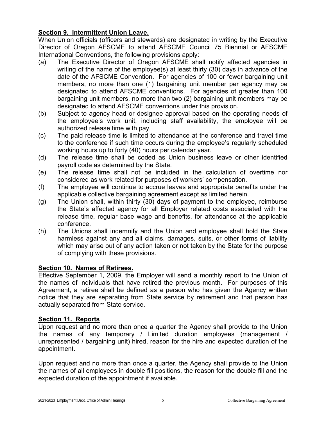#### **Section 9. Intermittent Union Leave.**

When Union officials (officers and stewards) are designated in writing by the Executive Director of Oregon AFSCME to attend AFSCME Council 75 Biennial or AFSCME International Conventions, the following provisions apply:

- (a) The Executive Director of Oregon AFSCME shall notify affected agencies in writing of the name of the employee(s) at least thirty (30) days in advance of the date of the AFSCME Convention. For agencies of 100 or fewer bargaining unit members, no more than one (1) bargaining unit member per agency may be designated to attend AFSCME conventions. For agencies of greater than 100 bargaining unit members, no more than two (2) bargaining unit members may be designated to attend AFSCME conventions under this provision.
- (b) Subject to agency head or designee approval based on the operating needs of the employee's work unit, including staff availability, the employee will be authorized release time with pay.
- (c) The paid release time is limited to attendance at the conference and travel time to the conference if such time occurs during the employee's regularly scheduled working hours up to forty (40) hours per calendar year.
- (d) The release time shall be coded as Union business leave or other identified payroll code as determined by the State.
- (e) The release time shall not be included in the calculation of overtime nor considered as work related for purposes of workers' compensation.
- (f) The employee will continue to accrue leaves and appropriate benefits under the applicable collective bargaining agreement except as limited herein.
- (g) The Union shall, within thirty (30) days of payment to the employee, reimburse the State's affected agency for all Employer related costs associated with the release time, regular base wage and benefits, for attendance at the applicable conference.
- (h) The Unions shall indemnify and the Union and employee shall hold the State harmless against any and all claims, damages, suits, or other forms of liability which may arise out of any action taken or not taken by the State for the purpose of complying with these provisions.

#### **Section 10. Names of Retirees.**

Effective September 1, 2009, the Employer will send a monthly report to the Union of the names of individuals that have retired the previous month. For purposes of this Agreement, a retiree shall be defined as a person who has given the Agency written notice that they are separating from State service by retirement and that person has actually separated from State service.

#### **Section 11. Reports**

Upon request and no more than once a quarter the Agency shall provide to the Union the names of any temporary / Limited duration employees (management / unrepresented / bargaining unit) hired, reason for the hire and expected duration of the appointment.

Upon request and no more than once a quarter, the Agency shall provide to the Union the names of all employees in double fill positions, the reason for the double fill and the expected duration of the appointment if available.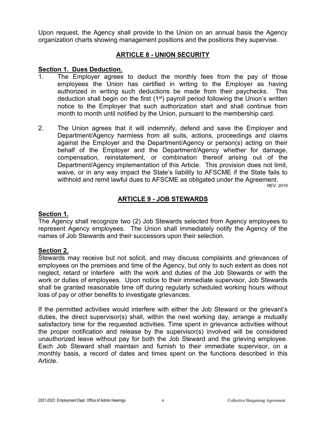Upon request, the Agency shall provide to the Union on an annual basis the Agency organization charts showing management positions and the positions they supervise.

#### **ARTICLE 8 - UNION SECURITY**

#### <span id="page-8-0"></span>**Section 1. Dues Deduction.**

- The Employer agrees to deduct the monthly fees from the pay of those employees the Union has certified in writing to the Employer as having authorized in writing such deductions be made from their paychecks. This deduction shall begin on the first (1<sup>st</sup>) payroll period following the Union's written notice to the Employer that such authorization start and shall continue from month to month until notified by the Union, pursuant to the membership card.
- 2. The Union agrees that it will indemnify, defend and save the Employer and Department/Agency harmless from all suits, actions, proceedings and claims against the Employer and the Department/Agency or person(s) acting on their behalf of the Employer and the Department/Agency whether for damage, compensation, reinstatement, or combination thereof arising out of the Department/Agency implementation of this Article. This provision does not limit, waive, or in any way impact the State's liability to AFSCME if the State fails to withhold and remit lawful dues to AFSCME as obligated under the Agreement.

*REV: 2019*

#### **ARTICLE 9 - JOB STEWARDS**

#### <span id="page-8-1"></span>**Section 1.**

The Agency shall recognize two (2) Job Stewards selected from Agency employees to represent Agency employees. The Union shall immediately notify the Agency of the names of Job Stewards and their successors upon their selection.

#### **Section 2.**

Stewards may receive but not solicit, and may discuss complaints and grievances of employees on the premises and time of the Agency, but only to such extent as does not neglect, retard or interfere with the work and duties of the Job Stewards or with the work or duties of employees. Upon notice to their immediate supervisor, Job Stewards shall be granted reasonable time off during regularly scheduled working hours without loss of pay or other benefits to investigate grievances.

If the permitted activities would interfere with either the Job Steward or the grievant's duties, the direct supervisor(s) shall, within the next working day, arrange a mutually satisfactory time for the requested activities. Time spent in grievance activities without the proper notification and release by the supervisor(s) involved will be considered unauthorized leave without pay for both the Job Steward and the grieving employee. Each Job Steward shall maintain and furnish to their immediate supervisor, on a monthly basis, a record of dates and times spent on the functions described in this Article.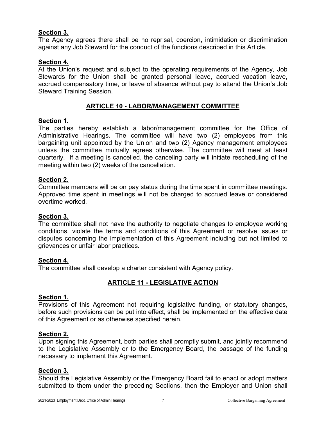#### **Section 3.**

The Agency agrees there shall be no reprisal, coercion, intimidation or discrimination against any Job Steward for the conduct of the functions described in this Article.

#### **Section 4.**

At the Union's request and subject to the operating requirements of the Agency, Job Stewards for the Union shall be granted personal leave, accrued vacation leave, accrued compensatory time, or leave of absence without pay to attend the Union's Job Steward Training Session.

#### **ARTICLE 10 - LABOR/MANAGEMENT COMMITTEE**

#### <span id="page-9-0"></span>**Section 1.**

The parties hereby establish a labor/management committee for the Office of Administrative Hearings. The committee will have two (2) employees from this bargaining unit appointed by the Union and two (2) Agency management employees unless the committee mutually agrees otherwise. The committee will meet at least quarterly. If a meeting is cancelled, the canceling party will initiate rescheduling of the meeting within two (2) weeks of the cancellation.

#### **Section 2.**

Committee members will be on pay status during the time spent in committee meetings. Approved time spent in meetings will not be charged to accrued leave or considered overtime worked.

#### **Section 3.**

The committee shall not have the authority to negotiate changes to employee working conditions, violate the terms and conditions of this Agreement or resolve issues or disputes concerning the implementation of this Agreement including but not limited to grievances or unfair labor practices.

#### **Section 4.**

<span id="page-9-1"></span>The committee shall develop a charter consistent with Agency policy.

#### **ARTICLE 11 - LEGISLATIVE ACTION**

#### **Section 1.**

Provisions of this Agreement not requiring legislative funding, or statutory changes, before such provisions can be put into effect, shall be implemented on the effective date of this Agreement or as otherwise specified herein.

#### **Section 2.**

Upon signing this Agreement, both parties shall promptly submit, and jointly recommend to the Legislative Assembly or to the Emergency Board, the passage of the funding necessary to implement this Agreement.

#### **Section 3.**

Should the Legislative Assembly or the Emergency Board fail to enact or adopt matters submitted to them under the preceding Sections, then the Employer and Union shall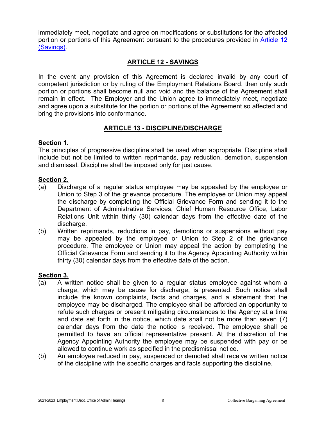immediately meet, negotiate and agree on modifications or substitutions for the affected portion or portions of this Agreement pursuant to the procedures provided in [Article 12](#page-10-0)  [\(Savings\).](#page-10-0)

#### **ARTICLE 12 - SAVINGS**

<span id="page-10-0"></span>In the event any provision of this Agreement is declared invalid by any court of competent jurisdiction or by ruling of the Employment Relations Board, then only such portion or portions shall become null and void and the balance of the Agreement shall remain in effect. The Employer and the Union agree to immediately meet, negotiate and agree upon a substitute for the portion or portions of the Agreement so affected and bring the provisions into conformance.

#### **ARTICLE 13 - DISCIPLINE/DISCHARGE**

#### <span id="page-10-1"></span>**Section 1.**

The principles of progressive discipline shall be used when appropriate. Discipline shall include but not be limited to written reprimands, pay reduction, demotion, suspension and dismissal. Discipline shall be imposed only for just cause.

#### **Section 2.**

- (a) Discharge of a regular status employee may be appealed by the employee or Union to Step 3 of the grievance procedure. The employee or Union may appeal the discharge by completing the Official Grievance Form and sending it to the Department of Administrative Services, Chief Human Resource Office, Labor Relations Unit within thirty (30) calendar days from the effective date of the discharge.
- (b) Written reprimands, reductions in pay, demotions or suspensions without pay may be appealed by the employee or Union to Step 2 of the grievance procedure. The employee or Union may appeal the action by completing the Official Grievance Form and sending it to the Agency Appointing Authority within thirty (30) calendar days from the effective date of the action.

#### **Section 3.**

- (a) A written notice shall be given to a regular status employee against whom a charge, which may be cause for discharge, is presented. Such notice shall include the known complaints, facts and charges, and a statement that the employee may be discharged. The employee shall be afforded an opportunity to refute such charges or present mitigating circumstances to the Agency at a time and date set forth in the notice, which date shall not be more than seven (7) calendar days from the date the notice is received. The employee shall be permitted to have an official representative present. At the discretion of the Agency Appointing Authority the employee may be suspended with pay or be allowed to continue work as specified in the predismissal notice.
- (b) An employee reduced in pay, suspended or demoted shall receive written notice of the discipline with the specific charges and facts supporting the discipline.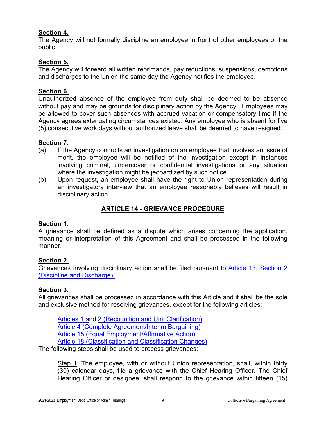#### **Section 4.**

The Agency will not formally discipline an employee in front of other employees or the public.

#### **Section 5.**

The Agency will forward all written reprimands, pay reductions, suspensions, demotions and discharges to the Union the same day the Agency notifies the employee.

#### **Section 6.**

Unauthorized absence of the employee from duty shall be deemed to be absence without pay and may be grounds for disciplinary action by the Agency. Employees may be allowed to cover such absences with accrued vacation or compensatory time if the Agency agrees extenuating circumstances existed. Any employee who is absent for five (5) consecutive work days without authorized leave shall be deemed to have resigned.

#### **Section 7.**

- (a) If the Agency conducts an investigation on an employee that involves an issue of merit, the employee will be notified of the investigation except in instances involving criminal, undercover or confidential investigations or any situation where the investigation might be jeopardized by such notice.
- (b) Upon request, an employee shall have the right to Union representation during an investigatory interview that an employee reasonably believes will result in disciplinary action.

#### **ARTICLE 14 - GRIEVANCE PROCEDURE**

#### <span id="page-11-0"></span>**Section 1.**

A grievance shall be defined as a dispute which arises concerning the application, meaning or interpretation of this Agreement and shall be processed in the following manner.

#### **Section 2.**

Grievances involving disciplinary action shall be filed pursuant to [Article 13, Section 2](#page-10-1)  [\(Discipline and Discharge\).](#page-10-1) 

#### **Section 3.**

All grievances shall be processed in accordance with this Article and it shall be the sole and exclusive method for resolving grievances, except for the following articles:

[Articles 1 an](#page-3-1)d [2 \(Recognition and Unit Clarification\)](#page-3-2) [Article 4 \(Complete Agreement/Interim Bargaining\)](#page-3-4) [Article 15 \(Equal Employment/Affirmative Action\)](#page-14-0) [Article 18 \(Classification and Classification Changes\)](#page-16-0)

The following steps shall be used to process grievances:

Step 1. The employee, with or without Union representation, shall, within thirty (30) calendar days, file a grievance with the Chief Hearing Officer. The Chief Hearing Officer or designee, shall respond to the grievance within fifteen (15)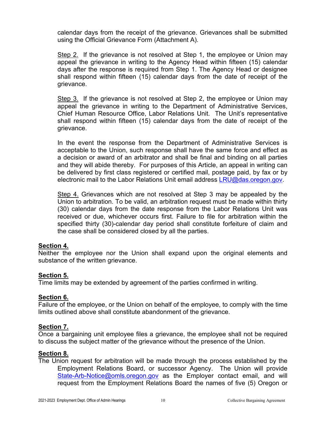calendar days from the receipt of the grievance. Grievances shall be submitted using the Official Grievance Form (Attachment A).

Step 2. If the grievance is not resolved at Step 1, the employee or Union may appeal the grievance in writing to the Agency Head within fifteen (15) calendar days after the response is required from Step 1. The Agency Head or designee shall respond within fifteen (15) calendar days from the date of receipt of the grievance.

Step 3. If the grievance is not resolved at Step 2, the employee or Union may appeal the grievance in writing to the Department of Administrative Services, Chief Human Resource Office, Labor Relations Unit. The Unit's representative shall respond within fifteen (15) calendar days from the date of receipt of the grievance.

In the event the response from the Department of Administrative Services is acceptable to the Union, such response shall have the same force and effect as a decision or award of an arbitrator and shall be final and binding on all parties and they will abide thereby. For purposes of this Article, an appeal in writing can be delivered by first class registered or certified mail, postage paid, by fax or by electronic mail to the Labor Relations Unit email address [LRU@das.oregon.gov.](mailto:LRU@das.oregon.gov)

Step 4. Grievances which are not resolved at Step 3 may be appealed by the Union to arbitration. To be valid, an arbitration request must be made within thirty (30) calendar days from the date response from the Labor Relations Unit was received or due, whichever occurs first. Failure to file for arbitration within the specified thirty (30)-calendar day period shall constitute forfeiture of claim and the case shall be considered closed by all the parties.

#### **Section 4.**

Neither the employee nor the Union shall expand upon the original elements and substance of the written grievance.

#### **Section 5.**

Time limits may be extended by agreement of the parties confirmed in writing.

#### **Section 6.**

Failure of the employee, or the Union on behalf of the employee, to comply with the time limits outlined above shall constitute abandonment of the grievance.

#### **Section 7.**

Once a bargaining unit employee files a grievance, the employee shall not be required to discuss the subject matter of the grievance without the presence of the Union.

#### **Section 8.**

The Union request for arbitration will be made through the process established by the Employment Relations Board, or successor Agency. The Union will provide [State-Arb-Notice@omls.oregon.gov](mailto:State-Arb-Notice@omls.oregon.gov) as the Employer contact email, and will request from the Employment Relations Board the names of five (5) Oregon or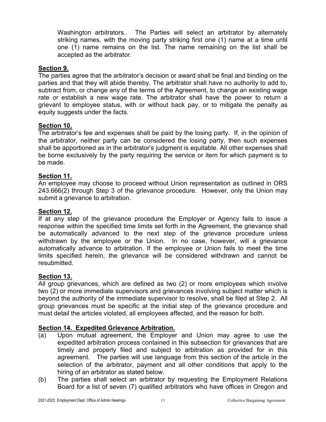Washington arbitrators.. The Parties will select an arbitrator by alternately striking names, with the moving party striking first one (1) name at a time until one (1) name remains on the list. The name remaining on the list shall be accepted as the arbitrator.

#### **Section 9.**

The parties agree that the arbitrator's decision or award shall be final and binding on the parties and that they will abide thereby. The arbitrator shall have no authority to add to, subtract from, or change any of the terms of the Agreement, to change an existing wage rate or establish a new wage rate. The arbitrator shall have the power to return a grievant to employee status, with or without back pay, or to mitigate the penalty as equity suggests under the facts.

#### **Section 10.**

The arbitrator's fee and expenses shall be paid by the losing party. If, in the opinion of the arbitrator, neither party can be considered the losing party, then such expenses shall be apportioned as in the arbitrator's judgment is equitable. All other expenses shall be borne exclusively by the party requiring the service or item for which payment is to be made.

#### **Section 11.**

An employee may choose to proceed without Union representation as outlined in ORS 243.666(2) through Step 3 of the grievance procedure. However, only the Union may submit a grievance to arbitration.

#### **Section 12.**

If at any step of the grievance procedure the Employer or Agency fails to issue a response within the specified time limits set forth in the Agreement, the grievance shall be automatically advanced to the next step of the grievance procedure unless withdrawn by the employee or the Union. In no case, however, will a grievance automatically advance to arbitration. If the employee or Union fails to meet the time limits specified herein, the grievance will be considered withdrawn and cannot be resubmitted.

#### **Section 13.**

All group grievances, which are defined as two (2) or more employees which involve two (2) or more immediate supervisors and grievances involving subject matter which is beyond the authority of the immediate supervisor to resolve, shall be filed at Step 2. All group grievances must be specific at the initial step of the grievance procedure and must detail the articles violated, all employees affected, and the reason for both.

#### **Section 14. Expedited Grievance Arbitration.**

- (a) Upon mutual agreement, the Employer and Union may agree to use the expedited arbitration process contained in this subsection for grievances that are timely and properly filed and subject to arbitration as provided for in this agreement. The parties will use language from this section of the article in the selection of the arbitrator, payment and all other conditions that apply to the hiring of an arbitrator as stated below.
- (b) The parties shall select an arbitrator by requesting the Employment Relations Board for a list of seven (7) qualified arbitrators who have offices in Oregon and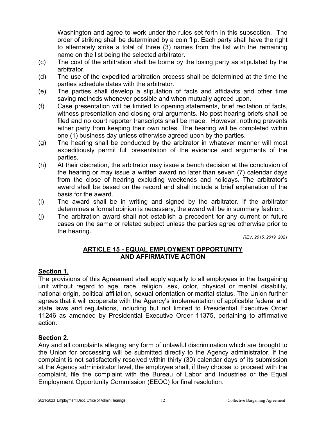Washington and agree to work under the rules set forth in this subsection. The order of striking shall be determined by a coin flip. Each party shall have the right to alternately strike a total of three (3) names from the list with the remaining name on the list being the selected arbitrator.

- (c) The cost of the arbitration shall be borne by the losing party as stipulated by the arbitrator.
- (d) The use of the expedited arbitration process shall be determined at the time the parties schedule dates with the arbitrator.
- (e) The parties shall develop a stipulation of facts and affidavits and other time saving methods whenever possible and when mutually agreed upon.
- (f) Case presentation will be limited to opening statements, brief recitation of facts, witness presentation and closing oral arguments. No post hearing briefs shall be filed and no court reporter transcripts shall be made. However, nothing prevents either party from keeping their own notes. The hearing will be completed within one (1) business day unless otherwise agreed upon by the parties.
- (g) The hearing shall be conducted by the arbitrator in whatever manner will most expeditiously permit full presentation of the evidence and arguments of the parties.
- (h) At their discretion, the arbitrator may issue a bench decision at the conclusion of the hearing or may issue a written award no later than seven (7) calendar days from the close of hearing excluding weekends and holidays. The arbitrator's award shall be based on the record and shall include a brief explanation of the basis for the award.
- (i) The award shall be in writing and signed by the arbitrator. If the arbitrator determines a formal opinion is necessary, the award will be in summary fashion.
- (j) The arbitration award shall not establish a precedent for any current or future cases on the same or related subject unless the parties agree otherwise prior to the hearing.

*REV: 2015, 2019, 2021*

#### **ARTICLE 15 - EQUAL EMPLOYMENT OPPORTUNITY AND AFFIRMATIVE ACTION**

#### <span id="page-14-1"></span><span id="page-14-0"></span>**Section 1.**

The provisions of this Agreement shall apply equally to all employees in the bargaining unit without regard to age, race, religion, sex, color, physical or mental disability, national origin, political affiliation, sexual orientation or marital status. The Union further agrees that it will cooperate with the Agency's implementation of applicable federal and state laws and regulations, including but not limited to Presidential Executive Order 11246 as amended by Presidential Executive Order 11375, pertaining to affirmative action.

#### **Section 2.**

Any and all complaints alleging any form of unlawful discrimination which are brought to the Union for processing will be submitted directly to the Agency administrator. If the complaint is not satisfactorily resolved within thirty (30) calendar days of its submission at the Agency administrator level, the employee shall, if they choose to proceed with the complaint, file the complaint with the Bureau of Labor and Industries or the Equal Employment Opportunity Commission (EEOC) for final resolution.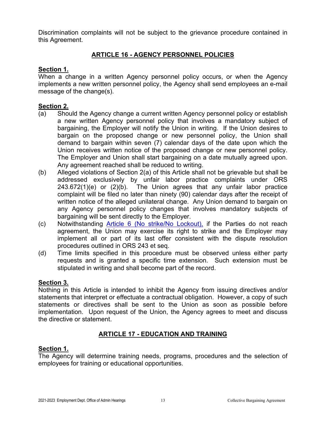Discrimination complaints will not be subject to the grievance procedure contained in this Agreement.

#### **ARTICLE 16 - AGENCY PERSONNEL POLICIES**

#### <span id="page-15-0"></span>**Section 1.**

When a change in a written Agency personnel policy occurs, or when the Agency implements a new written personnel policy, the Agency shall send employees an e-mail message of the change(s).

#### **Section 2.**

- (a) Should the Agency change a current written Agency personnel policy or establish a new written Agency personnel policy that involves a mandatory subject of bargaining, the Employer will notify the Union in writing. If the Union desires to bargain on the proposed change or new personnel policy, the Union shall demand to bargain within seven (7) calendar days of the date upon which the Union receives written notice of the proposed change or new personnel policy. The Employer and Union shall start bargaining on a date mutually agreed upon. Any agreement reached shall be reduced to writing.
- (b) Alleged violations of Section 2(a) of this Article shall not be grievable but shall be addressed exclusively by unfair labor practice complaints under ORS 243.672(1)(e) or (2)(b). The Union agrees that any unfair labor practice complaint will be filed no later than ninety (90) calendar days after the receipt of written notice of the alleged unilateral change. Any Union demand to bargain on any Agency personnel policy changes that involves mandatory subjects of bargaining will be sent directly to the Employer.
- (c) Notwithstanding [Article 6 \(No strike/No Lockout\),](#page-4-2) if the Parties do not reach agreement, the Union may exercise its right to strike and the Employer may implement all or part of its last offer consistent with the dispute resolution procedures outlined in ORS 243 et seq.
- (d) Time limits specified in this procedure must be observed unless either party requests and is granted a specific time extension. Such extension must be stipulated in writing and shall become part of the record.

#### **Section 3.**

Nothing in this Article is intended to inhibit the Agency from issuing directives and/or statements that interpret or effectuate a contractual obligation. However, a copy of such statements or directives shall be sent to the Union as soon as possible before implementation. Upon request of the Union, the Agency agrees to meet and discuss the directive or statement.

#### **ARTICLE 17 - EDUCATION AND TRAINING**

#### <span id="page-15-1"></span>**Section 1.**

The Agency will determine training needs, programs, procedures and the selection of employees for training or educational opportunities.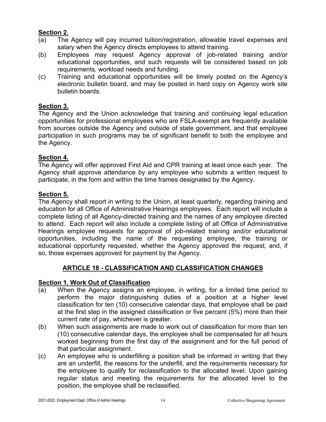#### **Section 2.**

- (a) The Agency will pay incurred tuition/registration, allowable travel expenses and salary when the Agency directs employees to attend training.
- (b) Employees may request Agency approval of job-related training and/or educational opportunities, and such requests will be considered based on job requirements, workload needs and funding.
- (c) Training and educational opportunities will be timely posted on the Agency's electronic bulletin board, and may be posted in hard copy on Agency work site bulletin boards.

#### **Section 3.**

The Agency and the Union acknowledge that training and continuing legal education opportunities for professional employees who are FSLA-exempt are frequently available from sources outside the Agency and outside of state government, and that employee participation in such programs may be of significant benefit to both the employee and the Agency.

#### **Section 4.**

The Agency will offer approved First Aid and CPR training at least once each year. The Agency shall approve attendance by any employee who submits a written request to participate, in the form and within the time frames designated by the Agency.

#### **Section 5.**

The Agency shall report in writing to the Union, at least quarterly, regarding training and education for all Office of Administrative Hearings employees. Each report will include a complete listing of all Agency-directed training and the names of any employee directed to attend. Each report will also include a complete listing of all Office of Administrative Hearings employee requests for approval of job-related training and/or educational opportunities, including the name of the requesting employee, the training or educational opportunity requested, whether the Agency approved the request, and, if so, those expenses approved for payment by the Agency.

#### **ARTICLE 18 - CLASSIFICATION AND CLASSIFICATION CHANGES**

#### <span id="page-16-0"></span>**Section 1. Work Out of Classification**

- (a) When the Agency assigns an employee, in writing, for a limited time period to perform the major distinguishing duties of a position at a higher level classification for ten (10) consecutive calendar days, that employee shall be paid at the first step in the assigned classification or five percent (5%) more than their current rate of pay, whichever is greater.
- (b) When such assignments are made to work out of classification for more than ten (10) consecutive calendar days, the employee shall be compensated for all hours worked beginning from the first day of the assignment and for the full period of that particular assignment.
- (c) An employee who is underfilling a position shall be informed in writing that they are an underfill, the reasons for the underfill, and the requirements necessary for the employee to qualify for reclassification to the allocated level. Upon gaining regular status and meeting the requirements for the allocated level to the position, the employee shall be reclassified.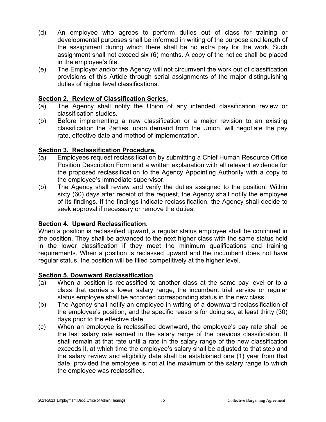- (d) An employee who agrees to perform duties out of class for training or developmental purposes shall be informed in writing of the purpose and length of the assignment during which there shall be no extra pay for the work. Such assignment shall not exceed six (6) months. A copy of the notice shall be placed in the employee's file.
- (e) The Employer and/or the Agency will not circumvent the work out of classification provisions of this Article through serial assignments of the major distinguishing duties of higher level classifications.

#### **Section 2. Review of Classification Series.**

- (a) The Agency shall notify the Union of any intended classification review or classification studies.
- (b) Before implementing a new classification or a major revision to an existing classification the Parties, upon demand from the Union, will negotiate the pay rate, effective date and method of implementation.

#### **Section 3. Reclassification Procedure.**

- (a) Employees request reclassification by submitting a Chief Human Resource Office Position Description Form and a written explanation with all relevant evidence for the proposed reclassification to the Agency Appointing Authority with a copy to the employee's immediate supervisor.
- (b) The Agency shall review and verify the duties assigned to the position. Within sixty (60) days after receipt of the request, the Agency shall notify the employee of its findings. If the findings indicate reclassification, the Agency shall decide to seek approval if necessary or remove the duties.

#### **Section 4. Upward Reclassification.**

When a position is reclassified upward, a regular status employee shall be continued in the position. They shall be advanced to the next higher class with the same status held in the lower classification if they meet the minimum qualifications and training requirements. When a position is reclassed upward and the incumbent does not have regular status, the position will be filled competitively at the higher level.

#### **Section 5. Downward Reclassification**

- (a) When a position is reclassified to another class at the same pay level or to a class that carries a lower salary range, the incumbent trial service or regular status employee shall be accorded corresponding status in the new class.
- (b) The Agency shall notify an employee in writing of a downward reclassification of the employee's position, and the specific reasons for doing so, at least thirty (30) days prior to the effective date.
- (c) When an employee is reclassified downward, the employee's pay rate shall be the last salary rate earned in the salary range of the previous classification. It shall remain at that rate until a rate in the salary range of the new classification exceeds it, at which time the employee's salary shall be adjusted to that step and the salary review and eligibility date shall be established one (1) year from that date, provided the employee is not at the maximum of the salary range to which the employee was reclassified.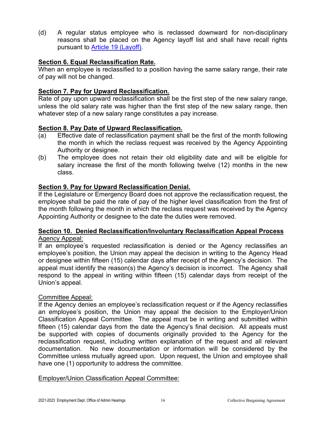(d) A regular status employee who is reclassed downward for non-disciplinary reasons shall be placed on the Agency layoff list and shall have recall rights pursuant to [Article 19 \(Layoff\).](#page-20-0)

#### **Section 6. Equal Reclassification Rate.**

When an employee is reclassified to a position having the same salary range, their rate of pay will not be changed.

#### **Section 7. Pay for Upward Reclassification.**

Rate of pay upon upward reclassification shall be the first step of the new salary range, unless the old salary rate was higher than the first step of the new salary range, then whatever step of a new salary range constitutes a pay increase.

#### **Section 8. Pay Date of Upward Reclassification.**

- (a) Effective date of reclassification payment shall be the first of the month following the month in which the reclass request was received by the Agency Appointing Authority or designee.
- (b) The employee does not retain their old eligibility date and will be eligible for salary increase the first of the month following twelve (12) months in the new class.

#### **Section 9. Pay for Upward Reclassification Denial.**

If the Legislature or Emergency Board does not approve the reclassification request, the employee shall be paid the rate of pay of the higher level classification from the first of the month following the month in which the reclass request was received by the Agency Appointing Authority or designee to the date the duties were removed.

#### **Section 10. Denied Reclassification/Involuntary Reclassification Appeal Process** Agency Appeal:

If an employee's requested reclassification is denied or the Agency reclassifies an employee's position, the Union may appeal the decision in writing to the Agency Head or designee within fifteen (15) calendar days after receipt of the Agency's decision. The appeal must identify the reason(s) the Agency's decision is incorrect. The Agency shall respond to the appeal in writing within fifteen (15) calendar days from receipt of the Union's appeal.

#### Committee Appeal:

If the Agency denies an employee's reclassification request or if the Agency reclassifies an employee's position, the Union may appeal the decision to the Employer/Union Classification Appeal Committee. The appeal must be in writing and submitted within fifteen (15) calendar days from the date the Agency's final decision. All appeals must be supported with copies of documents originally provided to the Agency for the reclassification request, including written explanation of the request and all relevant documentation. No new documentation or information will be considered by the Committee unless mutually agreed upon. Upon request, the Union and employee shall have one (1) opportunity to address the committee.

#### Employer/Union Classification Appeal Committee: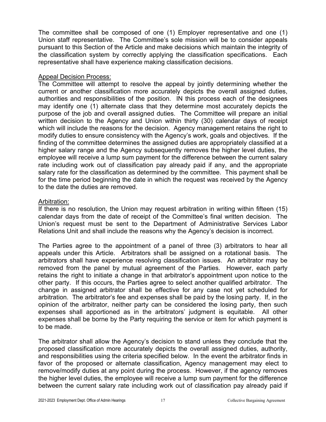The committee shall be composed of one (1) Employer representative and one (1) Union staff representative. The Committee's sole mission will be to consider appeals pursuant to this Section of the Article and make decisions which maintain the integrity of the classification system by correctly applying the classification specifications. Each representative shall have experience making classification decisions.

#### Appeal Decision Process:

The Committee will attempt to resolve the appeal by jointly determining whether the current or another classification more accurately depicts the overall assigned duties, authorities and responsibilities of the position. IN this process each of the designees may identify one (1) alternate class that they determine most accurately depicts the purpose of the job and overall assigned duties. The Committee will prepare an initial written decision to the Agency and Union within thirty (30) calendar days of receipt which will include the reasons for the decision. Agency management retains the right to modify duties to ensure consistency with the Agency's work, goals and objectives. If the finding of the committee determines the assigned duties are appropriately classified at a higher salary range and the Agency subsequently removes the higher level duties, the employee will receive a lump sum payment for the difference between the current salary rate including work out of classification pay already paid if any, and the appropriate salary rate for the classification as determined by the committee. This payment shall be for the time period beginning the date in which the request was received by the Agency to the date the duties are removed.

#### Arbitration:

If there is no resolution, the Union may request arbitration in writing within fifteen (15) calendar days from the date of receipt of the Committee's final written decision. The Union's request must be sent to the Department of Administrative Services Labor Relations Unit and shall include the reasons why the Agency's decision is incorrect.

The Parties agree to the appointment of a panel of three (3) arbitrators to hear all appeals under this Article. Arbitrators shall be assigned on a rotational basis. The arbitrators shall have experience resolving classification issues. An arbitrator may be removed from the panel by mutual agreement of the Parties. However, each party retains the right to initiate a change in that arbitrator's appointment upon notice to the other party. If this occurs, the Parties agree to select another qualified arbitrator. The change in assigned arbitrator shall be effective for any case not yet scheduled for arbitration. The arbitrator's fee and expenses shall be paid by the losing party. If, in the opinion of the arbitrator, neither party can be considered the losing party, then such expenses shall apportioned as in the arbitrators' judgment is equitable. All other expenses shall be borne by the Party requiring the service or item for which payment is to be made.

The arbitrator shall allow the Agency's decision to stand unless they conclude that the proposed classification more accurately depicts the overall assigned duties, authority, and responsibilities using the criteria specified below. In the event the arbitrator finds in favor of the proposed or alternate classification, Agency management may elect to remove/modify duties at any point during the process. However, if the agency removes the higher level duties, the employee will receive a lump sum payment for the difference between the current salary rate including work out of classification pay already paid if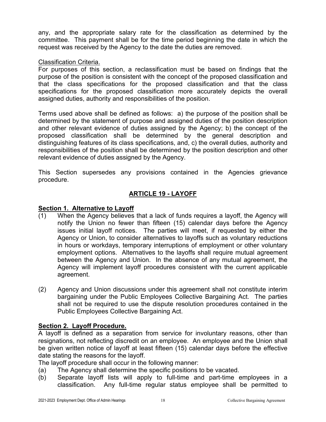any, and the appropriate salary rate for the classification as determined by the committee. This payment shall be for the time period beginning the date in which the request was received by the Agency to the date the duties are removed.

#### Classification Criteria.

For purposes of this section, a reclassification must be based on findings that the purpose of the position is consistent with the concept of the proposed classification and that the class specifications for the proposed classification and that the class specifications for the proposed classification more accurately depicts the overall assigned duties, authority and responsibilities of the position.

Terms used above shall be defined as follows: a) the purpose of the position shall be determined by the statement of purpose and assigned duties of the position description and other relevant evidence of duties assigned by the Agency; b) the concept of the proposed classification shall be determined by the general description and distinguishing features of its class specifications, and, c) the overall duties, authority and responsibilities of the position shall be determined by the position description and other relevant evidence of duties assigned by the Agency.

This Section supersedes any provisions contained in the Agencies grievance procedure.

#### **ARTICLE 19 - LAYOFF**

#### <span id="page-20-0"></span>**Section 1. Alternative to Layoff**

- (1) When the Agency believes that a lack of funds requires a layoff, the Agency will notify the Union no fewer than fifteen (15) calendar days before the Agency issues initial layoff notices. The parties will meet, if requested by either the Agency or Union, to consider alternatives to layoffs such as voluntary reductions in hours or workdays, temporary interruptions of employment or other voluntary employment options. Alternatives to the layoffs shall require mutual agreement between the Agency and Union. In the absence of any mutual agreement, the Agency will implement layoff procedures consistent with the current applicable agreement.
- (2) Agency and Union discussions under this agreement shall not constitute interim bargaining under the Public Employees Collective Bargaining Act. The parties shall not be required to use the dispute resolution procedures contained in the Public Employees Collective Bargaining Act.

#### **Section 2. Layoff Procedure.**

A layoff is defined as a separation from service for involuntary reasons, other than resignations, not reflecting discredit on an employee. An employee and the Union shall be given written notice of layoff at least fifteen (15) calendar days before the effective date stating the reasons for the layoff.

The layoff procedure shall occur in the following manner:

- (a) The Agency shall determine the specific positions to be vacated.
- (b) Separate layoff lists will apply to full-time and part-time employees in a classification. Any full-time regular status employee shall be permitted to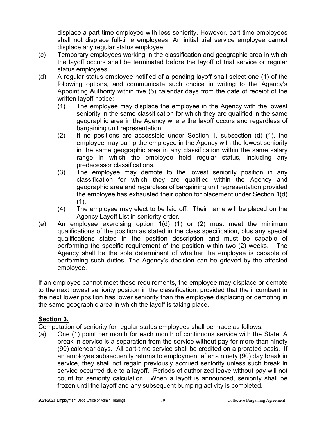displace a part-time employee with less seniority. However, part-time employees shall not displace full-time employees. An initial trial service employee cannot displace any regular status employee.

- (c) Temporary employees working in the classification and geographic area in which the layoff occurs shall be terminated before the layoff of trial service or regular status employees.
- (d) A regular status employee notified of a pending layoff shall select one (1) of the following options, and communicate such choice in writing to the Agency's Appointing Authority within five (5) calendar days from the date of receipt of the written layoff notice:
	- (1) The employee may displace the employee in the Agency with the lowest seniority in the same classification for which they are qualified in the same geographic area in the Agency where the layoff occurs and regardless of bargaining unit representation.
	- (2) If no positions are accessible under Section 1, subsection (d) (1), the employee may bump the employee in the Agency with the lowest seniority in the same geographic area in any classification within the same salary range in which the employee held regular status, including any predecessor classifications.
	- (3) The employee may demote to the lowest seniority position in any classification for which they are qualified within the Agency and geographic area and regardless of bargaining unit representation provided the employee has exhausted their option for placement under Section 1(d)  $(1).$
	- (4) The employee may elect to be laid off. Their name will be placed on the Agency Layoff List in seniority order.
- (e) An employee exercising option 1(d) (1) or (2) must meet the minimum qualifications of the position as stated in the class specification, plus any special qualifications stated in the position description and must be capable of performing the specific requirement of the position within two (2) weeks. The Agency shall be the sole determinant of whether the employee is capable of performing such duties. The Agency's decision can be grieved by the affected employee.

If an employee cannot meet these requirements, the employee may displace or demote to the next lowest seniority position in the classification, provided that the incumbent in the next lower position has lower seniority than the employee displacing or demoting in the same geographic area in which the layoff is taking place.

#### **Section 3.**

Computation of seniority for regular status employees shall be made as follows:

(a) One (1) point per month for each month of continuous service with the State. A break in service is a separation from the service without pay for more than ninety (90) calendar days. All part-time service shall be credited on a prorated basis. If an employee subsequently returns to employment after a ninety (90) day break in service, they shall not regain previously accrued seniority unless such break in service occurred due to a layoff. Periods of authorized leave without pay will not count for seniority calculation. When a layoff is announced, seniority shall be frozen until the layoff and any subsequent bumping activity is completed.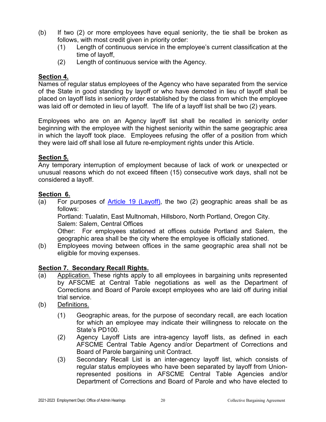- (b) If two (2) or more employees have equal seniority, the tie shall be broken as follows, with most credit given in priority order:
	- (1) Length of continuous service in the employee's current classification at the time of layoff,
	- (2) Length of continuous service with the Agency.

#### **Section 4.**

Names of regular status employees of the Agency who have separated from the service of the State in good standing by layoff or who have demoted in lieu of layoff shall be placed on layoff lists in seniority order established by the class from which the employee was laid off or demoted in lieu of layoff. The life of a layoff list shall be two (2) years.

Employees who are on an Agency layoff list shall be recalled in seniority order beginning with the employee with the highest seniority within the same geographic area in which the layoff took place. Employees refusing the offer of a position from which they were laid off shall lose all future re-employment rights under this Article.

#### **Section 5.**

Any temporary interruption of employment because of lack of work or unexpected or unusual reasons which do not exceed fifteen (15) consecutive work days, shall not be considered a layoff.

#### **Section 6.**

(a) For purposes of [Article 19 \(Layoff\),](#page-20-0) the two (2) geographic areas shall be as follows:

Portland: Tualatin, East Multnomah, Hillsboro, North Portland, Oregon City. Salem: Salem, Central Offices

Other: For employees stationed at offices outside Portland and Salem, the geographic area shall be the city where the employee is officially stationed.

(b) Employees moving between offices in the same geographic area shall not be eligible for moving expenses.

#### **Section 7. Secondary Recall Rights.**

- (a) Application. These rights apply to all employees in bargaining units represented by AFSCME at Central Table negotiations as well as the Department of Corrections and Board of Parole except employees who are laid off during initial trial service.
- (b) Definitions.
	- (1) Geographic areas, for the purpose of secondary recall, are each location for which an employee may indicate their willingness to relocate on the State's PD100.
	- (2) Agency Layoff Lists are intra-agency layoff lists, as defined in each AFSCME Central Table Agency and/or Department of Corrections and Board of Parole bargaining unit Contract.
	- (3) Secondary Recall List is an inter-agency layoff list, which consists of regular status employees who have been separated by layoff from Unionrepresented positions in AFSCME Central Table Agencies and/or Department of Corrections and Board of Parole and who have elected to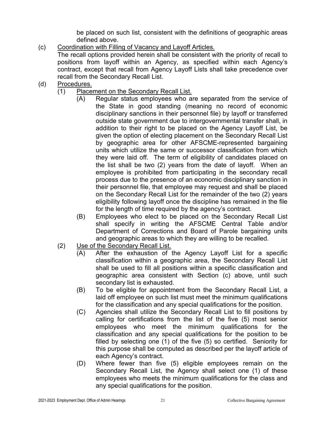be placed on such list, consistent with the definitions of geographic areas defined above.

(c) Coordination with Filling of Vacancy and Layoff Articles.

The recall options provided herein shall be consistent with the priority of recall to positions from layoff within an Agency, as specified within each Agency's contract, except that recall from Agency Layoff Lists shall take precedence over recall from the Secondary Recall List.

- (d) Procedures.
	- (1) Placement on the Secondary Recall List.
		- (A) Regular status employees who are separated from the service of the State in good standing (meaning no record of economic disciplinary sanctions in their personnel file) by layoff or transferred outside state government due to intergovernmental transfer shall, in addition to their right to be placed on the Agency Layoff List, be given the option of electing placement on the Secondary Recall List by geographic area for other AFSCME-represented bargaining units which utilize the same or successor classification from which they were laid off. The term of eligibility of candidates placed on the list shall be two (2) years from the date of layoff. When an employee is prohibited from participating in the secondary recall process due to the presence of an economic disciplinary sanction in their personnel file, that employee may request and shall be placed on the Secondary Recall List for the remainder of the two (2) years eligibility following layoff once the discipline has remained in the file for the length of time required by the agency's contract.
		- (B) Employees who elect to be placed on the Secondary Recall List shall specify in writing the AFSCME Central Table and/or Department of Corrections and Board of Parole bargaining units and geographic areas to which they are willing to be recalled.
	- (2) Use of the Secondary Recall List.
		- (A) After the exhaustion of the Agency Layoff List for a specific classification within a geographic area, the Secondary Recall List shall be used to fill all positions within a specific classification and geographic area consistent with Section (c) above, until such secondary list is exhausted.
		- (B) To be eligible for appointment from the Secondary Recall List, a laid off employee on such list must meet the minimum qualifications for the classification and any special qualifications for the position.
		- (C) Agencies shall utilize the Secondary Recall List to fill positions by calling for certifications from the list of the five (5) most senior employees who meet the minimum qualifications for the classification and any special qualifications for the position to be filled by selecting one (1) of the five (5) so certified. Seniority for this purpose shall be computed as described per the layoff article of each Agency's contract.
		- (D) Where fewer than five (5) eligible employees remain on the Secondary Recall List, the Agency shall select one (1) of these employees who meets the minimum qualifications for the class and any special qualifications for the position.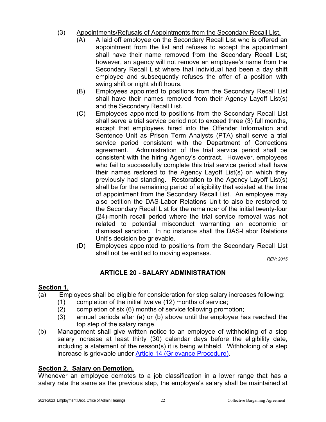- (3) Appointments/Refusals of Appointments from the Secondary Recall List.
	- (A) A laid off employee on the Secondary Recall List who is offered an appointment from the list and refuses to accept the appointment shall have their name removed from the Secondary Recall List; however, an agency will not remove an employee's name from the Secondary Recall List where that individual had been a day shift employee and subsequently refuses the offer of a position with swing shift or night shift hours.
	- (B) Employees appointed to positions from the Secondary Recall List shall have their names removed from their Agency Layoff List(s) and the Secondary Recall List.
	- (C) Employees appointed to positions from the Secondary Recall List shall serve a trial service period not to exceed three (3) full months, except that employees hired into the Offender Information and Sentence Unit as Prison Term Analysts (PTA) shall serve a trial service period consistent with the Department of Corrections agreement. Administration of the trial service period shall be consistent with the hiring Agency's contract. However, employees who fail to successfully complete this trial service period shall have their names restored to the Agency Layoff List(s) on which they previously had standing. Restoration to the Agency Layoff List(s) shall be for the remaining period of eligibility that existed at the time of appointment from the Secondary Recall List. An employee may also petition the DAS-Labor Relations Unit to also be restored to the Secondary Recall List for the remainder of the initial twenty-four (24)-month recall period where the trial service removal was not related to potential misconduct warranting an economic or dismissal sanction. In no instance shall the DAS-Labor Relations Unit's decision be grievable.
	- (D) Employees appointed to positions from the Secondary Recall List shall not be entitled to moving expenses.

*REV: 2015*

#### **ARTICLE 20 - SALARY ADMINISTRATION**

#### <span id="page-24-0"></span>**Section 1.**

- (a) Employees shall be eligible for consideration for step salary increases following:
	- (1) completion of the initial twelve (12) months of service;
	- (2) completion of six (6) months of service following promotion;
	- (3) annual periods after (a) or (b) above until the employee has reached the top step of the salary range.
- (b) Management shall give written notice to an employee of withholding of a step salary increase at least thirty (30) calendar days before the eligibility date, including a statement of the reason(s) it is being withheld. Withholding of a step increase is grievable under [Article 14 \(Grievance Procedure\).](#page-11-0)

#### **Section 2. Salary on Demotion.**

Whenever an employee demotes to a job classification in a lower range that has a salary rate the same as the previous step, the employee's salary shall be maintained at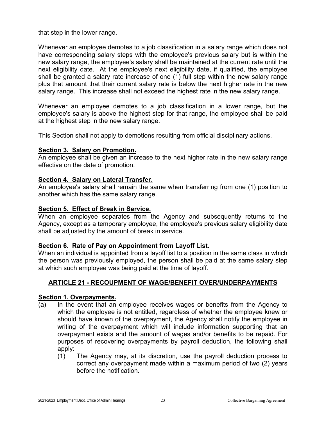that step in the lower range.

Whenever an employee demotes to a job classification in a salary range which does not have corresponding salary steps with the employee's previous salary but is within the new salary range, the employee's salary shall be maintained at the current rate until the next eligibility date. At the employee's next eligibility date, if qualified, the employee shall be granted a salary rate increase of one (1) full step within the new salary range plus that amount that their current salary rate is below the next higher rate in the new salary range. This increase shall not exceed the highest rate in the new salary range.

Whenever an employee demotes to a job classification in a lower range, but the employee's salary is above the highest step for that range, the employee shall be paid at the highest step in the new salary range.

This Section shall not apply to demotions resulting from official disciplinary actions.

#### **Section 3. Salary on Promotion.**

An employee shall be given an increase to the next higher rate in the new salary range effective on the date of promotion.

#### **Section 4. Salary on Lateral Transfer.**

An employee's salary shall remain the same when transferring from one (1) position to another which has the same salary range.

#### **Section 5. Effect of Break in Service.**

When an employee separates from the Agency and subsequently returns to the Agency, except as a temporary employee, the employee's previous salary eligibility date shall be adjusted by the amount of break in service.

#### **Section 6. Rate of Pay on Appointment from Layoff List.**

When an individual is appointed from a layoff list to a position in the same class in which the person was previously employed, the person shall be paid at the same salary step at which such employee was being paid at the time of layoff.

#### <span id="page-25-0"></span>**ARTICLE 21 - RECOUPMENT OF WAGE/BENEFIT OVER/UNDERPAYMENTS**

#### **Section 1. Overpayments.**

- (a) In the event that an employee receives wages or benefits from the Agency to which the employee is not entitled, regardless of whether the employee knew or should have known of the overpayment, the Agency shall notify the employee in writing of the overpayment which will include information supporting that an overpayment exists and the amount of wages and/or benefits to be repaid. For purposes of recovering overpayments by payroll deduction, the following shall apply:
	- (1) The Agency may, at its discretion, use the payroll deduction process to correct any overpayment made within a maximum period of two (2) years before the notification.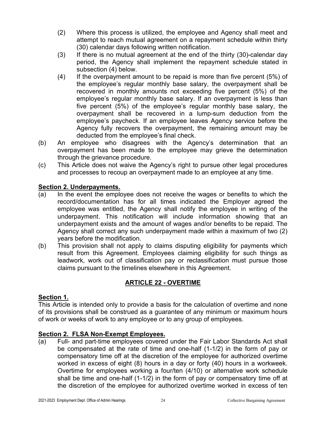- (2) Where this process is utilized, the employee and Agency shall meet and attempt to reach mutual agreement on a repayment schedule within thirty (30) calendar days following written notification.
- (3) If there is no mutual agreement at the end of the thirty (30)-calendar day period, the Agency shall implement the repayment schedule stated in subsection (4) below.
- (4) If the overpayment amount to be repaid is more than five percent (5%) of the employee's regular monthly base salary, the overpayment shall be recovered in monthly amounts not exceeding five percent (5%) of the employee's regular monthly base salary. If an overpayment is less than five percent (5%) of the employee's regular monthly base salary, the overpayment shall be recovered in a lump-sum deduction from the employee's paycheck. If an employee leaves Agency service before the Agency fully recovers the overpayment, the remaining amount may be deducted from the employee's final check.
- (b) An employee who disagrees with the Agency's determination that an overpayment has been made to the employee may grieve the determination through the grievance procedure.
- (c) This Article does not waive the Agency's right to pursue other legal procedures and processes to recoup an overpayment made to an employee at any time.

#### **Section 2. Underpayments.**

- (a) In the event the employee does not receive the wages or benefits to which the record/documentation has for all times indicated the Employer agreed the employee was entitled, the Agency shall notify the employee in writing of the underpayment. This notification will include information showing that an underpayment exists and the amount of wages and/or benefits to be repaid. The Agency shall correct any such underpayment made within a maximum of two (2) years before the modification.
- (b) This provision shall not apply to claims disputing eligibility for payments which result from this Agreement. Employees claiming eligibility for such things as leadwork, work out of classification pay or reclassification must pursue those claims pursuant to the timelines elsewhere in this Agreement.

#### **ARTICLE 22 - OVERTIME**

#### <span id="page-26-0"></span>**Section 1.**

This Article is intended only to provide a basis for the calculation of overtime and none of its provisions shall be construed as a guarantee of any minimum or maximum hours of work or weeks of work to any employee or to any group of employees.

#### **Section 2. FLSA Non-Exempt Employees.**

(a) Full- and part-time employees covered under the Fair Labor Standards Act shall be compensated at the rate of time and one-half (1-1/2) in the form of pay or compensatory time off at the discretion of the employee for authorized overtime worked in excess of eight (8) hours in a day or forty (40) hours in a workweek. Overtime for employees working a four/ten (4/10) or alternative work schedule shall be time and one-half (1-1/2) in the form of pay or compensatory time off at the discretion of the employee for authorized overtime worked in excess of ten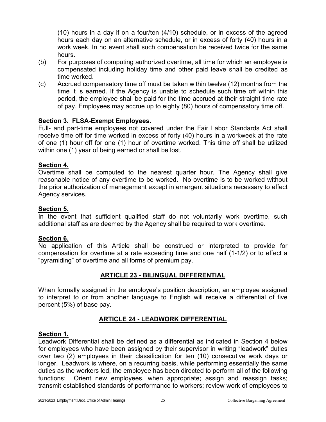(10) hours in a day if on a four/ten (4/10) schedule, or in excess of the agreed hours each day on an alternative schedule, or in excess of forty (40) hours in a work week. In no event shall such compensation be received twice for the same hours.

- (b) For purposes of computing authorized overtime, all time for which an employee is compensated including holiday time and other paid leave shall be credited as time worked.
- (c) Accrued compensatory time off must be taken within twelve (12) months from the time it is earned. If the Agency is unable to schedule such time off within this period, the employee shall be paid for the time accrued at their straight time rate of pay. Employees may accrue up to eighty (80) hours of compensatory time off.

#### **Section 3. FLSA-Exempt Employees.**

Full- and part-time employees not covered under the Fair Labor Standards Act shall receive time off for time worked in excess of forty (40) hours in a workweek at the rate of one (1) hour off for one (1) hour of overtime worked. This time off shall be utilized within one (1) year of being earned or shall be lost.

#### **Section 4.**

Overtime shall be computed to the nearest quarter hour. The Agency shall give reasonable notice of any overtime to be worked. No overtime is to be worked without the prior authorization of management except in emergent situations necessary to effect Agency services.

#### **Section 5.**

In the event that sufficient qualified staff do not voluntarily work overtime, such additional staff as are deemed by the Agency shall be required to work overtime.

#### **Section 6.**

No application of this Article shall be construed or interpreted to provide for compensation for overtime at a rate exceeding time and one half (1-1/2) or to effect a "pyramiding" of overtime and all forms of premium pay.

#### **ARTICLE 23 - BILINGUAL DIFFERENTIAL**

<span id="page-27-0"></span>When formally assigned in the employee's position description, an employee assigned to interpret to or from another language to English will receive a differential of five percent (5%) of base pay.

#### **ARTICLE 24 - LEADWORK DIFFERENTIAL**

#### <span id="page-27-1"></span>**Section 1.**

Leadwork Differential shall be defined as a differential as indicated in Section 4 below for employees who have been assigned by their supervisor in writing "leadwork" duties over two (2) employees in their classification for ten (10) consecutive work days or longer. Leadwork is where, on a recurring basis, while performing essentially the same duties as the workers led, the employee has been directed to perform all of the following functions: Orient new employees, when appropriate; assign and reassign tasks; transmit established standards of performance to workers; review work of employees to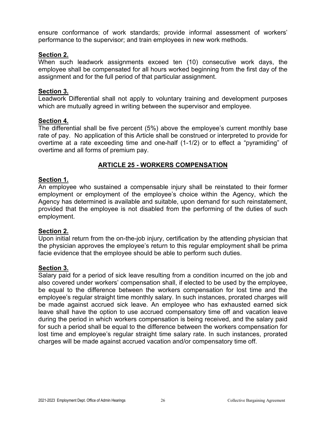ensure conformance of work standards; provide informal assessment of workers' performance to the supervisor; and train employees in new work methods.

#### **Section 2.**

When such leadwork assignments exceed ten (10) consecutive work days, the employee shall be compensated for all hours worked beginning from the first day of the assignment and for the full period of that particular assignment.

#### **Section 3.**

Leadwork Differential shall not apply to voluntary training and development purposes which are mutually agreed in writing between the supervisor and employee.

#### **Section 4.**

The differential shall be five percent (5%) above the employee's current monthly base rate of pay. No application of this Article shall be construed or interpreted to provide for overtime at a rate exceeding time and one-half (1-1/2) or to effect a "pyramiding" of overtime and all forms of premium pay.

#### **ARTICLE 25 - WORKERS COMPENSATION**

#### <span id="page-28-0"></span>**Section 1.**

An employee who sustained a compensable injury shall be reinstated to their former employment or employment of the employee's choice within the Agency, which the Agency has determined is available and suitable, upon demand for such reinstatement, provided that the employee is not disabled from the performing of the duties of such employment.

#### **Section 2.**

Upon initial return from the on-the-job injury, certification by the attending physician that the physician approves the employee's return to this regular employment shall be prima facie evidence that the employee should be able to perform such duties.

#### **Section 3.**

Salary paid for a period of sick leave resulting from a condition incurred on the job and also covered under workers' compensation shall, if elected to be used by the employee, be equal to the difference between the workers compensation for lost time and the employee's regular straight time monthly salary. In such instances, prorated charges will be made against accrued sick leave. An employee who has exhausted earned sick leave shall have the option to use accrued compensatory time off and vacation leave during the period in which workers compensation is being received, and the salary paid for such a period shall be equal to the difference between the workers compensation for lost time and employee's regular straight time salary rate. In such instances, prorated charges will be made against accrued vacation and/or compensatory time off.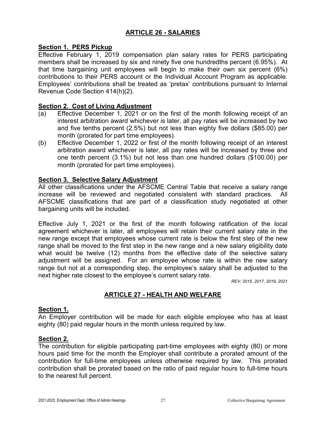#### **ARTICLE 26 - SALARIES**

#### <span id="page-29-0"></span>**Section 1. PERS Pickup**

Effective February 1, 2019 compensation plan salary rates for PERS participating members shall be increased by six and ninety five one hundredths percent (6.95%). At that time bargaining unit employees will begin to make their own six percent (6%) contributions to their PERS account or the Individual Account Program as applicable. Employees' contributions shall be treated as 'pretax' contributions pursuant to Internal Revenue Code Section 414(h)(2).

#### **Section 2. Cost of Living Adjustment**

- (a) Effective December 1, 2021 or on the first of the month following receipt of an interest arbitration award whichever is later, all pay rates will be increased by two and five tenths percent (2.5%) but not less than eighty five dollars (\$85.00) per month (prorated for part time employees).
- (b) Effective December 1, 2022 or first of the month following receipt of an interest arbitration award whichever is later, all pay rates will be increased by three and one tenth percent (3.1%) but not less than one hundred dollars (\$100.00) per month (prorated for part time employees).

#### **Section 3. Selective Salary Adjustment**

All other classifications under the AFSCME Central Table that receive a salary range increase will be reviewed and negotiated consistent with standard practices. All AFSCME classifications that are part of a classification study negotiated at other bargaining units will be included.

Effective July 1, 2021 or the first of the month following ratification of the local agreement whichever is later, all employees will retain their current salary rate in the new range except that employees whose current rate is below the first step of the new range shall be moved to the first step in the new range and a new salary eligibility date what would be twelve (12) months from the effective date of the selective salary adjustment will be assigned. For an employee whose rate is within the new salary range but not at a corresponding step, the employee's salary shall be adjusted to the next higher rate closest to the employee's current salary rate.

*REV: 2015, 2017, 2019, 2021*

#### **ARTICLE 27 - HEALTH AND WELFARE**

#### <span id="page-29-1"></span>**Section 1.**

An Employer contribution will be made for each eligible employee who has at least eighty (80) paid regular hours in the month unless required by law.

#### **Section 2.**

The contribution for eligible participating part-time employees with eighty (80) or more hours paid time for the month the Employer shall contribute a prorated amount of the contribution for full-time employees unless otherwise required by law. This prorated contribution shall be prorated based on the ratio of paid regular hours to full-time hours to the nearest full percent.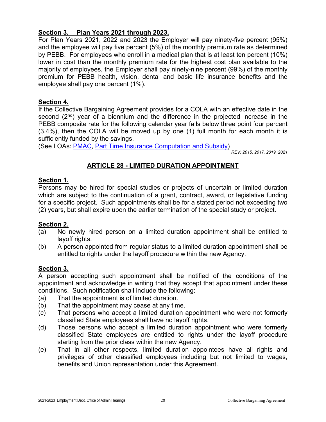#### **Section 3. Plan Years 2021 through 2023.**

For Plan Years 2021, 2022 and 2023 the Employer will pay ninety-five percent (95%) and the employee will pay five percent (5%) of the monthly premium rate as determined by PEBB. For employees who enroll in a medical plan that is at least ten percent (10%) lower in cost than the monthly premium rate for the highest cost plan available to the majority of employees, the Employer shall pay ninety-nine percent (99%) of the monthly premium for PEBB health, vision, dental and basic life insurance benefits and the employee shall pay one percent (1%).

#### **Section 4.**

If the Collective Bargaining Agreement provides for a COLA with an effective date in the second  $(2^{nd})$  year of a biennium and the difference in the projected increase in the PEBB composite rate for the following calendar year falls below three point four percent (3.4%), then the COLA will be moved up by one (1) full month for each month it is sufficiently funded by the savings.

(See LOAs: [PMAC,](#page-60-0) [Part Time Insurance Computation and Subsidy\)](#page-59-0)

*REV: 2015, 2017, 2019, 2021*

#### **ARTICLE 28 - LIMITED DURATION APPOINTMENT**

#### <span id="page-30-0"></span>**Section 1.**

Persons may be hired for special studies or projects of uncertain or limited duration which are subject to the continuation of a grant, contract, award, or legislative funding for a specific project. Such appointments shall be for a stated period not exceeding two (2) years, but shall expire upon the earlier termination of the special study or project.

#### **Section 2.**

- (a) No newly hired person on a limited duration appointment shall be entitled to lavoff rights.
- (b) A person appointed from regular status to a limited duration appointment shall be entitled to rights under the layoff procedure within the new Agency.

#### **Section 3.**

A person accepting such appointment shall be notified of the conditions of the appointment and acknowledge in writing that they accept that appointment under these conditions. Such notification shall include the following:

- (a) That the appointment is of limited duration.
- (b) That the appointment may cease at any time.
- (c) That persons who accept a limited duration appointment who were not formerly classified State employees shall have no layoff rights.
- (d) Those persons who accept a limited duration appointment who were formerly classified State employees are entitled to rights under the layoff procedure starting from the prior class within the new Agency.
- (e) That in all other respects, limited duration appointees have all rights and privileges of other classified employees including but not limited to wages, benefits and Union representation under this Agreement.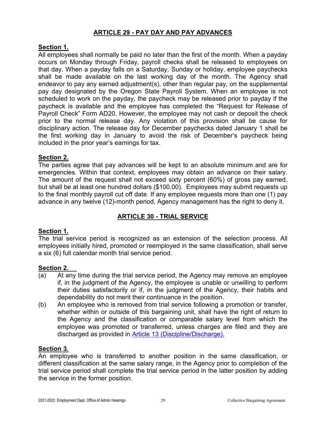#### **ARTICLE 29 - PAY DAY AND PAY ADVANCES**

#### <span id="page-31-0"></span>**Section 1.**

All employees shall normally be paid no later than the first of the month. When a payday occurs on Monday through Friday, payroll checks shall be released to employees on that day. When a payday falls on a Saturday, Sunday or holiday, employee paychecks shall be made available on the last working day of the month. The Agency shall endeavor to pay any earned adjustment(s), other than regular pay, on the supplemental pay day designated by the Oregon State Payroll System. When an employee is not scheduled to work on the payday, the paycheck may be released prior to payday if the paycheck is available and the employee has completed the "Request for Release of Payroll Check" Form AD20. However, the employee may not cash or deposit the check prior to the normal release day. Any violation of this provision shall be cause for disciplinary action. The release day for December paychecks dated January 1 shall be the first working day in January to avoid the risk of December's paycheck being included in the prior year's earnings for tax.

#### **Section 2.**

The parties agree that pay advances will be kept to an absolute minimum and are for emergencies. Within that context, employees may obtain an advance on their salary. The amount of the request shall not exceed sixty percent (60%) of gross pay earned, but shall be at least one hundred dollars (\$100.00). Employees may submit requests up to the final monthly payroll cut off date. If any employee requests more than one (1) pay advance in any twelve (12)-month period, Agency management has the right to deny it.

#### **ARTICLE 30 - TRIAL SERVICE**

#### <span id="page-31-1"></span>**Section 1.**

The trial service period is recognized as an extension of the selection process. All employees initially hired, promoted or reemployed in the same classification, shall serve a six (6) full calendar month trial service period.

#### **Section 2.**

- (a) At any time during the trial service period, the Agency may remove an employee if, in the judgment of the Agency, the employee is unable or unwilling to perform their duties satisfactorily or if, in the judgment of the Agency, their habits and dependability do not merit their continuance in the position.
- (b) An employee who is removed from trial service following a promotion or transfer, whether within or outside of this bargaining unit, shall have the right of return to the Agency and the classification or comparable salary level from which the employee was promoted or transferred, unless charges are filed and they are discharged as provided in [Article 13 \(Discipline/Discharge\).](#page-10-1)

#### **Section 3.**

An employee who is transferred to another position in the same classification, or different classification at the same salary range, in the Agency prior to completion of the trial service period shall complete the trial service period in the latter position by adding the service in the former position.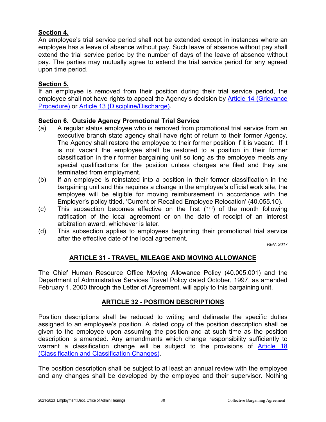#### **Section 4.**

An employee's trial service period shall not be extended except in instances where an employee has a leave of absence without pay. Such leave of absence without pay shall extend the trial service period by the number of days of the leave of absence without pay. The parties may mutually agree to extend the trial service period for any agreed upon time period.

#### **Section 5.**

If an employee is removed from their position during their trial service period, the employee shall not have rights to appeal the Agency's decision by [Article 14 \(Grievance](#page-11-0)  [Procedure\)](#page-11-0) or [Article 13 \(Discipline/Discharge\).](#page-10-1)

#### **Section 6. Outside Agency Promotional Trial Service**

- (a) A regular status employee who is removed from promotional trial service from an executive branch state agency shall have right of return to their former Agency. The Agency shall restore the employee to their former position if it is vacant. If it is not vacant the employee shall be restored to a position in their former classification in their former bargaining unit so long as the employee meets any special qualifications for the position unless charges are filed and they are terminated from employment.
- (b) If an employee is reinstated into a position in their former classification in the bargaining unit and this requires a change in the employee's official work site, the employee will be eligible for moving reimbursement in accordance with the Employer's policy titled, 'Current or Recalled Employee Relocation' (40.055.10).
- (c) This subsection becomes effective on the first  $(1<sup>st</sup>)$  of the month following ratification of the local agreement or on the date of receipt of an interest arbitration award, whichever is later.
- (d) This subsection applies to employees beginning their promotional trial service after the effective date of the local agreement.

*REV: 2017*

#### **ARTICLE 31 - TRAVEL, MILEAGE AND MOVING ALLOWANCE**

<span id="page-32-0"></span>The Chief Human Resource Office Moving Allowance Policy (40.005.001) and the Department of Administrative Services Travel Policy dated October, 1997, as amended February 1, 2000 through the Letter of Agreement, will apply to this bargaining unit.

#### **ARTICLE 32 - POSITION DESCRIPTIONS**

<span id="page-32-1"></span>Position descriptions shall be reduced to writing and delineate the specific duties assigned to an employee's position. A dated copy of the position description shall be given to the employee upon assuming the position and at such time as the position description is amended. Any amendments which change responsibility sufficiently to warrant a classification change will be subject to the provisions of Article 18 [\(Classification and Classification Changes\).](#page-16-0)

The position description shall be subject to at least an annual review with the employee and any changes shall be developed by the employee and their supervisor. Nothing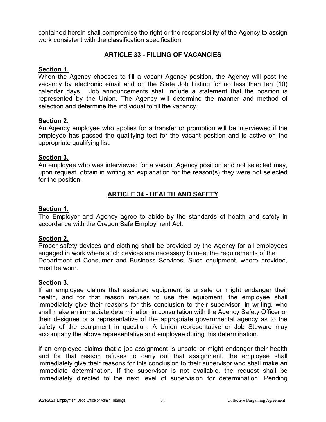contained herein shall compromise the right or the responsibility of the Agency to assign work consistent with the classification specification.

#### **ARTICLE 33 - FILLING OF VACANCIES**

#### <span id="page-33-0"></span>**Section 1.**

When the Agency chooses to fill a vacant Agency position, the Agency will post the vacancy by electronic email and on the State Job Listing for no less than ten (10) calendar days. Job announcements shall include a statement that the position is represented by the Union. The Agency will determine the manner and method of selection and determine the individual to fill the vacancy.

#### **Section 2.**

An Agency employee who applies for a transfer or promotion will be interviewed if the employee has passed the qualifying test for the vacant position and is active on the appropriate qualifying list.

#### **Section 3.**

An employee who was interviewed for a vacant Agency position and not selected may, upon request, obtain in writing an explanation for the reason(s) they were not selected for the position.

#### **ARTICLE 34 - HEALTH AND SAFETY**

#### <span id="page-33-1"></span>**Section 1.**

The Employer and Agency agree to abide by the standards of health and safety in accordance with the Oregon Safe Employment Act.

#### **Section 2.**

Proper safety devices and clothing shall be provided by the Agency for all employees engaged in work where such devices are necessary to meet the requirements of the Department of Consumer and Business Services. Such equipment, where provided, must be worn.

#### **Section 3.**

If an employee claims that assigned equipment is unsafe or might endanger their health, and for that reason refuses to use the equipment, the employee shall immediately give their reasons for this conclusion to their supervisor, in writing, who shall make an immediate determination in consultation with the Agency Safety Officer or their designee or a representative of the appropriate governmental agency as to the safety of the equipment in question. A Union representative or Job Steward may accompany the above representative and employee during this determination.

If an employee claims that a job assignment is unsafe or might endanger their health and for that reason refuses to carry out that assignment, the employee shall immediately give their reasons for this conclusion to their supervisor who shall make an immediate determination. If the supervisor is not available, the request shall be immediately directed to the next level of supervision for determination. Pending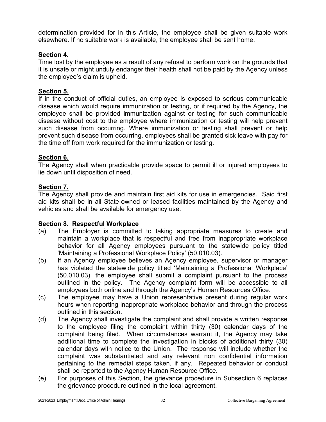determination provided for in this Article, the employee shall be given suitable work elsewhere. If no suitable work is available, the employee shall be sent home.

#### **Section 4.**

Time lost by the employee as a result of any refusal to perform work on the grounds that it is unsafe or might unduly endanger their health shall not be paid by the Agency unless the employee's claim is upheld.

#### **Section 5.**

If in the conduct of official duties, an employee is exposed to serious communicable disease which would require immunization or testing, or if required by the Agency, the employee shall be provided immunization against or testing for such communicable disease without cost to the employee where immunization or testing will help prevent such disease from occurring. Where immunization or testing shall prevent or help prevent such disease from occurring, employees shall be granted sick leave with pay for the time off from work required for the immunization or testing.

#### **Section 6.**

The Agency shall when practicable provide space to permit ill or injured employees to lie down until disposition of need.

#### **Section 7.**

The Agency shall provide and maintain first aid kits for use in emergencies. Said first aid kits shall be in all State-owned or leased facilities maintained by the Agency and vehicles and shall be available for emergency use.

#### **Section 8. Respectful Workplace**

- (a) The Employer is committed to taking appropriate measures to create and maintain a workplace that is respectful and free from inappropriate workplace behavior for all Agency employees pursuant to the statewide policy titled 'Maintaining a Professional Workplace Policy' (50.010.03).
- (b) If an Agency employee believes an Agency employee, supervisor or manager has violated the statewide policy titled 'Maintaining a Professional Workplace' (50.010.03), the employee shall submit a complaint pursuant to the process outlined in the policy. The Agency complaint form will be accessible to all employees both online and through the Agency's Human Resources Office.
- (c) The employee may have a Union representative present during regular work hours when reporting inappropriate workplace behavior and through the process outlined in this section.
- (d) The Agency shall investigate the complaint and shall provide a written response to the employee filing the complaint within thirty (30) calendar days of the complaint being filed. When circumstances warrant it, the Agency may take additional time to complete the investigation in blocks of additional thirty (30) calendar days with notice to the Union. The response will include whether the complaint was substantiated and any relevant non confidential information pertaining to the remedial steps taken, if any. Repeated behavior or conduct shall be reported to the Agency Human Resource Office.
- (e) For purposes of this Section, the grievance procedure in Subsection 6 replaces the grievance procedure outlined in the local agreement.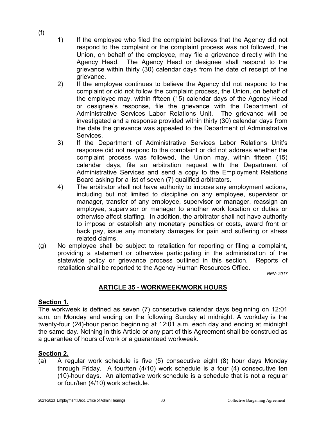(f)

- 1) If the employee who filed the complaint believes that the Agency did not respond to the complaint or the complaint process was not followed, the Union, on behalf of the employee, may file a grievance directly with the Agency Head. The Agency Head or designee shall respond to the grievance within thirty (30) calendar days from the date of receipt of the grievance.
- 2) If the employee continues to believe the Agency did not respond to the complaint or did not follow the complaint process, the Union, on behalf of the employee may, within fifteen (15) calendar days of the Agency Head or designee's response, file the grievance with the Department of Administrative Services Labor Relations Unit. The grievance will be investigated and a response provided within thirty (30) calendar days from the date the grievance was appealed to the Department of Administrative Services.
- 3) If the Department of Administrative Services Labor Relations Unit's response did not respond to the complaint or did not address whether the complaint process was followed, the Union may, within fifteen (15) calendar days, file an arbitration request with the Department of Administrative Services and send a copy to the Employment Relations Board asking for a list of seven (7) qualified arbitrators.
- 4) The arbitrator shall not have authority to impose any employment actions, including but not limited to discipline on any employee, supervisor or manager, transfer of any employee, supervisor or manager, reassign an employee, supervisor or manager to another work location or duties or otherwise affect staffing. In addition, the arbitrator shall not have authority to impose or establish any monetary penalties or costs, award front or back pay, issue any monetary damages for pain and suffering or stress related claims.
- (g) No employee shall be subject to retaliation for reporting or filing a complaint, providing a statement or otherwise participating in the administration of the statewide policy or grievance process outlined in this section. Reports of retaliation shall be reported to the Agency Human Resources Office.

*REV: 2017*

#### **ARTICLE 35 - WORKWEEK/WORK HOURS**

#### <span id="page-35-0"></span>**Section 1.**

The workweek is defined as seven (7) consecutive calendar days beginning on 12:01 a.m. on Monday and ending on the following Sunday at midnight. A workday is the twenty-four (24)-hour period beginning at 12:01 a.m. each day and ending at midnight the same day. Nothing in this Article or any part of this Agreement shall be construed as a guarantee of hours of work or a guaranteed workweek.

#### **Section 2.**

(a) A regular work schedule is five (5) consecutive eight (8) hour days Monday through Friday. A four/ten (4/10) work schedule is a four (4) consecutive ten (10)-hour days. An alternative work schedule is a schedule that is not a regular or four/ten (4/10) work schedule.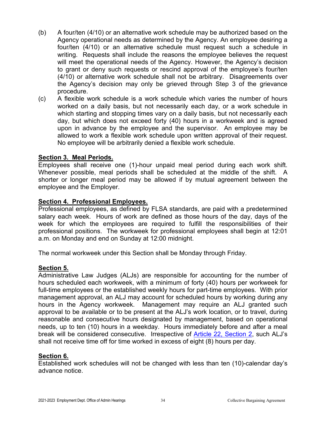- (b) A four/ten (4/10) or an alternative work schedule may be authorized based on the Agency operational needs as determined by the Agency. An employee desiring a four/ten (4/10) or an alternative schedule must request such a schedule in writing. Requests shall include the reasons the employee believes the request will meet the operational needs of the Agency. However, the Agency's decision to grant or deny such requests or rescind approval of the employee's four/ten (4/10) or alternative work schedule shall not be arbitrary. Disagreements over the Agency's decision may only be grieved through Step 3 of the grievance procedure.
- (c) A flexible work schedule is a work schedule which varies the number of hours worked on a daily basis, but not necessarily each day, or a work schedule in which starting and stopping times vary on a daily basis, but not necessarily each day, but which does not exceed forty (40) hours in a workweek and is agreed upon in advance by the employee and the supervisor. An employee may be allowed to work a flexible work schedule upon written approval of their request. No employee will be arbitrarily denied a flexible work schedule.

#### **Section 3. Meal Periods.**

Employees shall receive one (1)-hour unpaid meal period during each work shift. Whenever possible, meal periods shall be scheduled at the middle of the shift. A shorter or longer meal period may be allowed if by mutual agreement between the employee and the Employer.

#### **Section 4. Professional Employees.**

Professional employees, as defined by FLSA standards, are paid with a predetermined salary each week. Hours of work are defined as those hours of the day, days of the week for which the employees are required to fulfill the responsibilities of their professional positions. The workweek for professional employees shall begin at 12:01 a.m. on Monday and end on Sunday at 12:00 midnight.

The normal workweek under this Section shall be Monday through Friday.

#### **Section 5.**

Administrative Law Judges (ALJs) are responsible for accounting for the number of hours scheduled each workweek, with a minimum of forty (40) hours per workweek for full-time employees or the established weekly hours for part-time employees. With prior management approval, an ALJ may account for scheduled hours by working during any hours in the Agency workweek. Management may require an ALJ granted such approval to be available or to be present at the ALJ's work location, or to travel, during reasonable and consecutive hours designated by management, based on operational needs, up to ten (10) hours in a weekday. Hours immediately before and after a meal break will be considered consecutive. Irrespective of [Article 22, Section 2,](#page-26-0) such ALJ's shall not receive time off for time worked in excess of eight (8) hours per day.

#### **Section 6.**

Established work schedules will not be changed with less than ten (10)-calendar day's advance notice.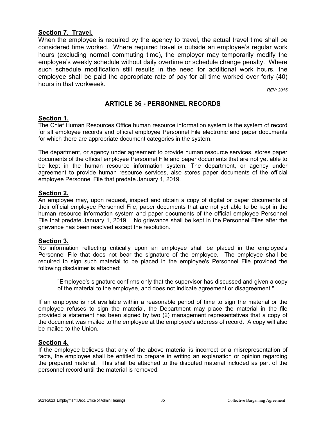#### **Section 7. Travel.**

When the employee is required by the agency to travel, the actual travel time shall be considered time worked. Where required travel is outside an employee's regular work hours (excluding normal commuting time), the employer may temporarily modify the employee's weekly schedule without daily overtime or schedule change penalty. Where such schedule modification still results in the need for additional work hours, the employee shall be paid the appropriate rate of pay for all time worked over forty (40) hours in that workweek.

*REV: 2015*

### **ARTICLE 36 - PERSONNEL RECORDS**

#### **Section 1.**

The Chief Human Resources Office human resource information system is the system of record for all employee records and official employee Personnel File electronic and paper documents for which there are appropriate document categories in the system.

The department, or agency under agreement to provide human resource services, stores paper documents of the official employee Personnel File and paper documents that are not yet able to be kept in the human resource information system. The department, or agency under agreement to provide human resource services, also stores paper documents of the official employee Personnel File that predate January 1, 2019.

#### **Section 2.**

An employee may, upon request, inspect and obtain a copy of digital or paper documents of their official employee Personnel File, paper documents that are not yet able to be kept in the human resource information system and paper documents of the official employee Personnel File that predate January 1, 2019. No grievance shall be kept in the Personnel Files after the grievance has been resolved except the resolution.

#### **Section 3.**

No information reflecting critically upon an employee shall be placed in the employee's Personnel File that does not bear the signature of the employee. The employee shall be required to sign such material to be placed in the employee's Personnel File provided the following disclaimer is attached:

"Employee's signature confirms only that the supervisor has discussed and given a copy of the material to the employee, and does not indicate agreement or disagreement."

If an employee is not available within a reasonable period of time to sign the material or the employee refuses to sign the material, the Department may place the material in the file provided a statement has been signed by two (2) management representatives that a copy of the document was mailed to the employee at the employee's address of record. A copy will also be mailed to the Union.

#### **Section 4.**

If the employee believes that any of the above material is incorrect or a misrepresentation of facts, the employee shall be entitled to prepare in writing an explanation or opinion regarding the prepared material. This shall be attached to the disputed material included as part of the personnel record until the material is removed.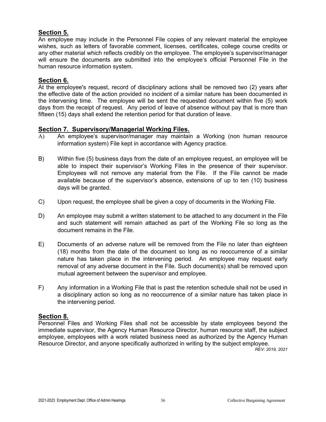### **Section 5.**

An employee may include in the Personnel File copies of any relevant material the employee wishes, such as letters of favorable comment, licenses, certificates, college course credits or any other material which reflects credibly on the employee. The employee's supervisor/manager will ensure the documents are submitted into the employee's official Personnel File in the human resource information system.

#### **Section 6.**

At the employee's request, record of disciplinary actions shall be removed two (2) years after the effective date of the action provided no incident of a similar nature has been documented in the intervening time. The employee will be sent the requested document within five (5) work days from the receipt of request. Any period of leave of absence without pay that is more than fifteen (15) days shall extend the retention period for that duration of leave.

#### **Section 7. Supervisory/Managerial Working Files.**

- A) An employee's supervisor/manager may maintain a Working (non human resource information system) File kept in accordance with Agency practice.
- B) Within five (5) business days from the date of an employee request, an employee will be able to inspect their supervisor's Working Files in the presence of their supervisor. Employees will not remove any material from the File. If the File cannot be made available because of the supervisor's absence, extensions of up to ten (10) business days will be granted.
- C) Upon request, the employee shall be given a copy of documents in the Working File.
- D) An employee may submit a written statement to be attached to any document in the File and such statement will remain attached as part of the Working File so long as the document remains in the File.
- E) Documents of an adverse nature will be removed from the File no later than eighteen (18) months from the date of the document so long as no reoccurrence of a similar nature has taken place in the intervening period. An employee may request early removal of any adverse document in the File. Such document(s) shall be removed upon mutual agreement between the supervisor and employee.
- F) Any information in a Working File that is past the retention schedule shall not be used in a disciplinary action so long as no reoccurrence of a similar nature has taken place in the intervening period.

#### **Section 8.**

Personnel Files and Working Files shall not be accessible by state employees beyond the immediate supervisor, the Agency Human Resource Director, human resource staff, the subject employee, employees with a work related business need as authorized by the Agency Human Resource Director, and anyone specifically authorized in writing by the subject employee.

*REV: 2019, 2021*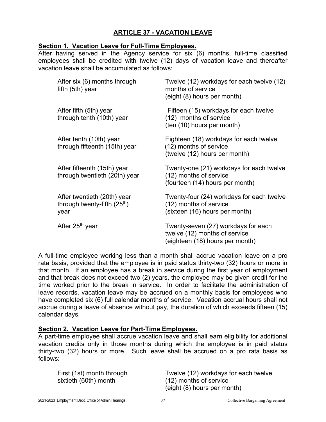# **ARTICLE 37 - VACATION LEAVE**

#### **Section 1. Vacation Leave for Full-Time Employees.**

After having served in the Agency service for six (6) months, full-time classified employees shall be credited with twelve (12) days of vacation leave and thereafter vacation leave shall be accumulated as follows:

| After six (6) months through<br>fifth $(5th)$ year                              | Twelve (12) workdays for each twelve (12)<br>months of service<br>(eight (8) hours per month)           |
|---------------------------------------------------------------------------------|---------------------------------------------------------------------------------------------------------|
| After fifth (5th) year<br>through tenth (10th) year                             | Fifteen (15) workdays for each twelve<br>(12) months of service<br>(ten (10) hours per month)           |
| After tenth (10th) year<br>through fifteenth (15th) year                        | Eighteen (18) workdays for each twelve<br>(12) months of service<br>(twelve (12) hours per month)       |
| After fifteenth (15th) year<br>through twentieth (20th) year                    | Twenty-one (21) workdays for each twelve<br>(12) months of service<br>(fourteen (14) hours per month)   |
| After twentieth (20th) year<br>through twenty-fifth (25 <sup>th</sup> )<br>year | Twenty-four (24) workdays for each twelve<br>(12) months of service<br>(sixteen (16) hours per month)   |
| After 25 <sup>th</sup> year                                                     | Twenty-seven (27) workdays for each<br>twelve (12) months of service<br>(eighteen (18) hours per month) |

A full-time employee working less than a month shall accrue vacation leave on a pro rata basis, provided that the employee is in paid status thirty-two (32) hours or more in that month. If an employee has a break in service during the first year of employment and that break does not exceed two (2) years, the employee may be given credit for the time worked prior to the break in service. In order to facilitate the administration of leave records, vacation leave may be accrued on a monthly basis for employees who have completed six (6) full calendar months of service. Vacation accrual hours shall not accrue during a leave of absence without pay, the duration of which exceeds fifteen (15) calendar days.

## **Section 2. Vacation Leave for Part-Time Employees.**

A part-time employee shall accrue vacation leave and shall earn eligibility for additional vacation credits only in those months during which the employee is in paid status thirty-two (32) hours or more. Such leave shall be accrued on a pro rata basis as follows:

sixtieth (60th) month (12) months of service

First (1st) month through Twelve (12) workdays for each twelve (eight (8) hours per month)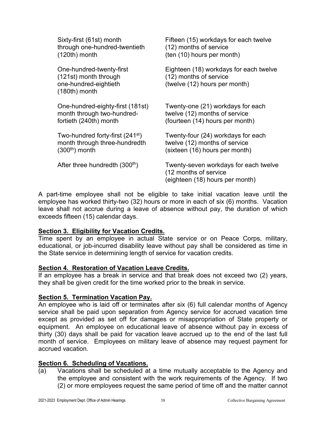| Sixty-first (61st) month                                                                      | Fifteen (15) workdays for each twelve                                                             |
|-----------------------------------------------------------------------------------------------|---------------------------------------------------------------------------------------------------|
| through one-hundred-twentieth                                                                 | (12) months of service                                                                            |
| $(120th)$ month                                                                               | (ten (10) hours per month)                                                                        |
| One-hundred-twenty-first<br>(121st) month through<br>one-hundred-eightieth<br>$(180th)$ month | Eighteen (18) workdays for each twelve<br>(12) months of service<br>(twelve (12) hours per month) |
| One-hundred-eighty-first (181st)                                                              | Twenty-one (21) workdays for each                                                                 |
| month through two-hundred-                                                                    | twelve (12) months of service                                                                     |
| fortieth (240th) month                                                                        | (fourteen (14) hours per month)                                                                   |
| Two-hundred forty-first (241 <sup>st</sup> )                                                  | Twenty-four (24) workdays for each                                                                |
| month through three-hundredth                                                                 | twelve (12) months of service                                                                     |
| $(300th)$ month                                                                               | (sixteen (16) hours per month)                                                                    |
| After three hundredth (300 <sup>th</sup> )                                                    | Twenty-seven workdays for each twelve<br>(12 months of service<br>(eighteen (18) hours per month) |

A part-time employee shall not be eligible to take initial vacation leave until the employee has worked thirty-two (32) hours or more in each of six (6) months. Vacation leave shall not accrue during a leave of absence without pay, the duration of which exceeds fifteen (15) calendar days.

#### **Section 3. Eligibility for Vacation Credits.**

Time spent by an employee in actual State service or on Peace Corps, military, educational, or job-incurred disability leave without pay shall be considered as time in the State service in determining length of service for vacation credits.

#### **Section 4. Restoration of Vacation Leave Credits.**

If an employee has a break in service and that break does not exceed two (2) years, they shall be given credit for the time worked prior to the break in service.

## **Section 5. Termination Vacation Pay.**

An employee who is laid off or terminates after six (6) full calendar months of Agency service shall be paid upon separation from Agency service for accrued vacation time except as provided as set off for damages or misappropriation of State property or equipment. An employee on educational leave of absence without pay in excess of thirty (30) days shall be paid for vacation leave accrued up to the end of the last full month of service. Employees on military leave of absence may request payment for accrued vacation.

## **Section 6. Scheduling of Vacations.**

(a) Vacations shall be scheduled at a time mutually acceptable to the Agency and the employee and consistent with the work requirements of the Agency. If two (2) or more employees request the same period of time off and the matter cannot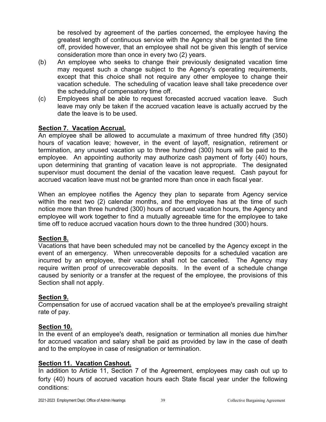be resolved by agreement of the parties concerned, the employee having the greatest length of continuous service with the Agency shall be granted the time off, provided however, that an employee shall not be given this length of service consideration more than once in every two (2) years.

- (b) An employee who seeks to change their previously designated vacation time may request such a change subject to the Agency's operating requirements, except that this choice shall not require any other employee to change their vacation schedule. The scheduling of vacation leave shall take precedence over the scheduling of compensatory time off.
- (c) Employees shall be able to request forecasted accrued vacation leave. Such leave may only be taken if the accrued vacation leave is actually accrued by the date the leave is to be used.

### **Section 7. Vacation Accrual.**

An employee shall be allowed to accumulate a maximum of three hundred fifty (350) hours of vacation leave; however, in the event of layoff, resignation, retirement or termination, any unused vacation up to three hundred (300) hours will be paid to the employee. An appointing authority may authorize cash payment of forty (40) hours, upon determining that granting of vacation leave is not appropriate. The designated supervisor must document the denial of the vacation leave request. Cash payout for accrued vacation leave must not be granted more than once in each fiscal year.

When an employee notifies the Agency they plan to separate from Agency service within the next two (2) calendar months, and the employee has at the time of such notice more than three hundred (300) hours of accrued vacation hours, the Agency and employee will work together to find a mutually agreeable time for the employee to take time off to reduce accrued vacation hours down to the three hundred (300) hours.

#### **Section 8.**

Vacations that have been scheduled may not be cancelled by the Agency except in the event of an emergency. When unrecoverable deposits for a scheduled vacation are incurred by an employee, their vacation shall not be cancelled. The Agency may require written proof of unrecoverable deposits. In the event of a schedule change caused by seniority or a transfer at the request of the employee, the provisions of this Section shall not apply.

#### **Section 9.**

Compensation for use of accrued vacation shall be at the employee's prevailing straight rate of pay.

#### **Section 10.**

In the event of an employee's death, resignation or termination all monies due him/her for accrued vacation and salary shall be paid as provided by law in the case of death and to the employee in case of resignation or termination.

#### **Section 11. Vacation Cashout.**

In addition to Article 11, Section 7 of the Agreement, employees may cash out up to forty (40) hours of accrued vacation hours each State fiscal year under the following conditions: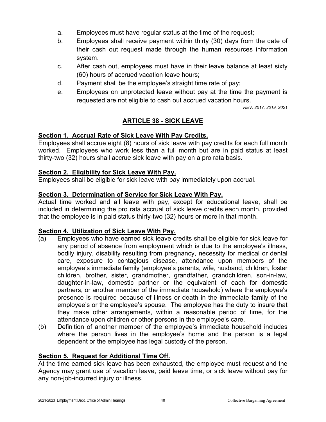- a. Employees must have regular status at the time of the request;
- b. Employees shall receive payment within thirty (30) days from the date of their cash out request made through the human resources information system.
- c. After cash out, employees must have in their leave balance at least sixty (60) hours of accrued vacation leave hours;
- d. Payment shall be the employee's straight time rate of pay;
- e. Employees on unprotected leave without pay at the time the payment is requested are not eligible to cash out accrued vacation hours.

*REV: 2017, 2019, 2021*

# **ARTICLE 38 - SICK LEAVE**

### <span id="page-42-0"></span>**Section 1. Accrual Rate of Sick Leave With Pay Credits.**

Employees shall accrue eight (8) hours of sick leave with pay credits for each full month worked. Employees who work less than a full month but are in paid status at least thirty-two (32) hours shall accrue sick leave with pay on a pro rata basis.

### **Section 2. Eligibility for Sick Leave With Pay.**

Employees shall be eligible for sick leave with pay immediately upon accrual.

### **Section 3. Determination of Service for Sick Leave With Pay.**

Actual time worked and all leave with pay, except for educational leave, shall be included in determining the pro rata accrual of sick leave credits each month, provided that the employee is in paid status thirty-two (32) hours or more in that month.

#### **Section 4. Utilization of Sick Leave With Pay.**

- (a) Employees who have earned sick leave credits shall be eligible for sick leave for any period of absence from employment which is due to the employee's illness, bodily injury, disability resulting from pregnancy, necessity for medical or dental care, exposure to contagious disease, attendance upon members of the employee's immediate family (employee's parents, wife, husband, children, foster children, brother, sister, grandmother, grandfather, grandchildren, son-in-law, daughter-in-law, domestic partner or the equivalent of each for domestic partners, or another member of the immediate household) where the employee's presence is required because of illness or death in the immediate family of the employee's or the employee's spouse. The employee has the duty to insure that they make other arrangements, within a reasonable period of time, for the attendance upon children or other persons in the employee's care.
- (b) Definition of another member of the employee's immediate household includes where the person lives in the employee's home and the person is a legal dependent or the employee has legal custody of the person.

#### **Section 5. Request for Additional Time Off.**

At the time earned sick leave has been exhausted, the employee must request and the Agency may grant use of vacation leave, paid leave time, or sick leave without pay for any non-job-incurred injury or illness.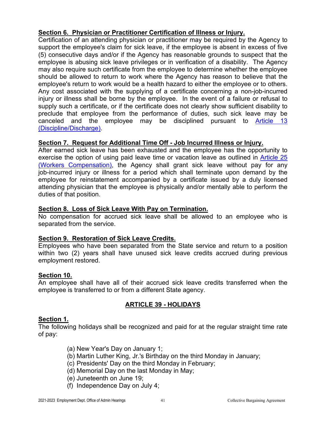# **Section 6. Physician or Practitioner Certification of Illness or Injury.**

Certification of an attending physician or practitioner may be required by the Agency to support the employee's claim for sick leave, if the employee is absent in excess of five (5) consecutive days and/or if the Agency has reasonable grounds to suspect that the employee is abusing sick leave privileges or in verification of a disability. The Agency may also require such certificate from the employee to determine whether the employee should be allowed to return to work where the Agency has reason to believe that the employee's return to work would be a health hazard to either the employee or to others. Any cost associated with the supplying of a certificate concerning a non-job-incurred injury or illness shall be borne by the employee. In the event of a failure or refusal to supply such a certificate, or if the certificate does not clearly show sufficient disability to preclude that employee from the performance of duties, such sick leave may be canceled and the employee may be disciplined pursuant to [Article 13](#page-10-0)  [\(Discipline/Discharge\).](#page-10-0)

## **Section 7. Request for Additional Time Off - Job Incurred Illness or Injury.**

After earned sick leave has been exhausted and the employee has the opportunity to exercise the option of using paid leave time or vacation leave as outlined in [Article 25](#page-28-0)  [\(Workers Compensation\),](#page-28-0) the Agency shall grant sick leave without pay for any job-incurred injury or illness for a period which shall terminate upon demand by the employee for reinstatement accompanied by a certificate issued by a duly licensed attending physician that the employee is physically and/or mentally able to perform the duties of that position.

### **Section 8. Loss of Sick Leave With Pay on Termination.**

No compensation for accrued sick leave shall be allowed to an employee who is separated from the service.

## **Section 9. Restoration of Sick Leave Credits.**

Employees who have been separated from the State service and return to a position within two (2) years shall have unused sick leave credits accrued during previous employment restored.

#### **Section 10.**

An employee shall have all of their accrued sick leave credits transferred when the employee is transferred to or from a different State agency.

## **ARTICLE 39 - HOLIDAYS**

#### **Section 1.**

The following holidays shall be recognized and paid for at the regular straight time rate of pay:

- (a) New Year's Day on January 1;
- (b) Martin Luther King, Jr.'s Birthday on the third Monday in January;
- (c) Presidents' Day on the third Monday in February;
- (d) Memorial Day on the last Monday in May;
- (e) Juneteenth on June 19;
- (f) Independence Day on July 4;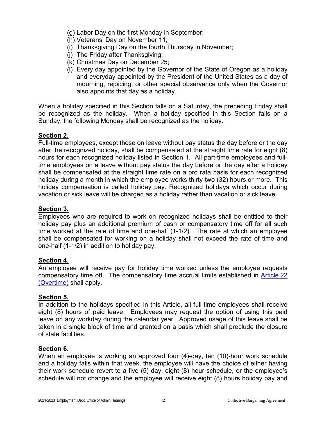- (g) Labor Day on the first Monday in September;
- (h) Veterans' Day on November 11;
- (i) Thanksgiving Day on the fourth Thursday in November;
- (j) The Friday after Thanksgiving;
- (k) Christmas Day on December 25;
- (l) Every day appointed by the Governor of the State of Oregon as a holiday and everyday appointed by the President of the United States as a day of mourning, rejoicing, or other special observance only when the Governor also appoints that day as a holiday.

When a holiday specified in this Section falls on a Saturday, the preceding Friday shall be recognized as the holiday. When a holiday specified in this Section falls on a Sunday, the following Monday shall be recognized as the holiday.

## **Section 2.**

Full-time employees, except those on leave without pay status the day before or the day after the recognized holiday, shall be compensated at the straight time rate for eight (8) hours for each recognized holiday listed in Section 1. All part-time employees and fulltime employees on a leave without pay status the day before or the day after a holiday shall be compensated at the straight time rate on a pro rata basis for each recognized holiday during a month in which the employee works thirty-two (32) hours or more. This holiday compensation is called holiday pay. Recognized holidays which occur during vacation or sick leave will be charged as a holiday rather than vacation or sick leave.

#### **Section 3.**

Employees who are required to work on recognized holidays shall be entitled to their holiday pay plus an additional premium of cash or compensatory time off for all such time worked at the rate of time and one-half (1-1/2). The rate at which an employee shall be compensated for working on a holiday shall not exceed the rate of time and one-half (1-1/2) in addition to holiday pay.

#### **Section 4.**

An employee will receive pay for holiday time worked unless the employee requests compensatory time off. The compensatory time accrual limits established in [Article](#page-26-1) 22 [\(Overtime\)](#page-26-1) shall apply.

#### **Section 5.**

In addition to the holidays specified in this Article, all full-time employees shall receive eight (8) hours of paid leave. Employees may request the option of using this paid leave on any workday during the calendar year. Approved usage of this leave shall be taken in a single block of time and granted on a basis which shall preclude the closure of state facilities.

#### **Section 6.**

When an employee is working an approved four (4)-day, ten (10)-hour work schedule and a holiday falls within that week, the employee will have the choice of either having their work schedule revert to a five (5) day, eight (8) hour schedule, or the employee's schedule will not change and the employee will receive eight (8) hours holiday pay and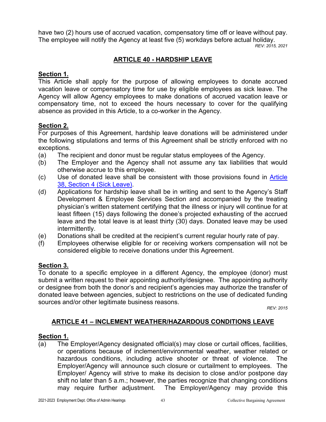have two (2) hours use of accrued vacation, compensatory time off or leave without pay. The employee will notify the Agency at least five (5) workdays before actual holiday.

*REV: 2015, 2021*

# **ARTICLE 40 - HARDSHIP LEAVE**

### **Section 1.**

This Article shall apply for the purpose of allowing employees to donate accrued vacation leave or compensatory time for use by eligible employees as sick leave. The Agency will allow Agency employees to make donations of accrued vacation leave or compensatory time, not to exceed the hours necessary to cover for the qualifying absence as provided in this Article, to a co-worker in the Agency.

## **Section 2.**

For purposes of this Agreement, hardship leave donations will be administered under the following stipulations and terms of this Agreement shall be strictly enforced with no exceptions.

- (a) The recipient and donor must be regular status employees of the Agency.
- (b) The Employer and the Agency shall not assume any tax liabilities that would otherwise accrue to this employee.
- (c) Use of donated leave shall be consistent with those provisions found in [Article](#page-42-0)  [38, Section 4 \(Sick Leave\).](#page-42-0)
- (d) Applications for hardship leave shall be in writing and sent to the Agency's Staff Development & Employee Services Section and accompanied by the treating physician's written statement certifying that the illness or injury will continue for at least fifteen (15) days following the donee's projected exhausting of the accrued leave and the total leave is at least thirty (30) days. Donated leave may be used intermittently.
- (e) Donations shall be credited at the recipient's current regular hourly rate of pay.
- (f) Employees otherwise eligible for or receiving workers compensation will not be considered eligible to receive donations under this Agreement.

## **Section 3.**

To donate to a specific employee in a different Agency, the employee (donor) must submit a written request to their appointing authority/designee. The appointing authority or designee from both the donor's and recipient's agencies may authorize the transfer of donated leave between agencies, subject to restrictions on the use of dedicated funding sources and/or other legitimate business reasons.

*REV: 2015*

## <span id="page-45-0"></span>**ARTICLE 41 – INCLEMENT WEATHER/HAZARDOUS CONDITIONS LEAVE**

#### **Section 1.**

(a) The Employer/Agency designated official(s) may close or curtail offices, facilities, or operations because of inclement/environmental weather, weather related or hazardous conditions, including active shooter or threat of violence. The Employer/Agency will announce such closure or curtailment to employees. The Employer/ Agency will strive to make its decision to close and/or postpone day shift no later than 5 a.m.; however, the parties recognize that changing conditions may require further adjustment. The Employer/Agency may provide this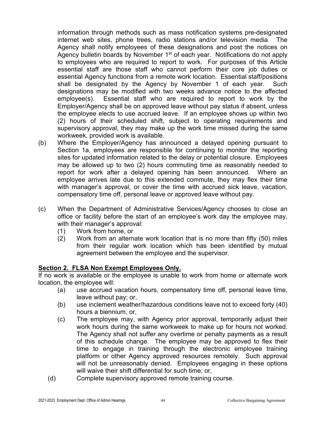information through methods such as mass notification systems pre-designated internet web sites, phone trees, radio stations and/or television media. The Agency shall notify employees of these designations and post the notices on Agency bulletin boards by November 1<sup>st</sup> of each year. Notifications do not apply to employees who are required to report to work. For purposes of this Article essential staff are those staff who cannot perform their core job duties or essential Agency functions from a remote work location. Essential staff/positions shall be designated by the Agency by November 1 of each year. Such designations may be modified with two weeks advance notice to the affected employee(s). Essential staff who are required to report to work by the Employer/Agency shall be on approved leave without pay status if absent, unless the employee elects to use accrued leave. If an employee shows up within two (2) hours of their scheduled shift, subject to operating requirements and supervisory approval, they may make up the work time missed during the same workweek, provided work is available.

- (b) Where the Employer/Agency has announced a delayed opening pursuant to Section 1a, employees are responsible for continuing to monitor the reporting sites for updated information related to the delay or potential closure. Employees may be allowed up to two (2) hours commuting time as reasonably needed to report for work after a delayed opening has been announced. Where an employee arrives late due to this extended commute, they may flex their time with manager's approval, or cover the time with accrued sick leave, vacation, compensatory time off, personal leave or approved leave without pay.
- (c) When the Department of Administrative Services/Agency chooses to close an office or facility before the start of an employee's work day the employee may, with their manager's approval:
	- (1) Work from home, or
	- (2) Work from an alternate work location that is no more than fifty (50) miles from their regular work location which has been identified by mutual agreement between the employee and the supervisor.

## **Section 2. FLSA Non Exempt Employees Only.**

If no work is available or the employee is unable to work from home or alternate work location, the employee will:

- (a) use accrued vacation hours, compensatory time off, personal leave time, leave without pay; or,
- (b) use inclement weather/hazardous conditions leave not to exceed forty (40) hours a biennium, or,
- (c) The employee may, with Agency prior approval, temporarily adjust their work hours during the same workweek to make up for hours not worked. The Agency shall not suffer any overtime or penalty payments as a result of this schedule change. The employee may be approved to flex their time to engage in training through the electronic employee training platform or other Agency approved resources remotely. Such approval will not be unreasonably denied. Employees engaging in these options will waive their shift differential for such time; or,
- (d) Complete supervisory approved remote training course.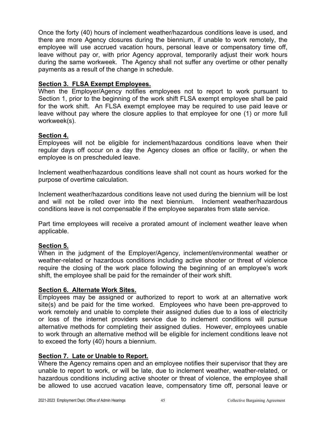Once the forty (40) hours of inclement weather/hazardous conditions leave is used, and there are more Agency closures during the biennium, if unable to work remotely, the employee will use accrued vacation hours, personal leave or compensatory time off, leave without pay or, with prior Agency approval, temporarily adjust their work hours during the same workweek. The Agency shall not suffer any overtime or other penalty payments as a result of the change in schedule.

### **Section 3. FLSA Exempt Employees.**

When the Employer/Agency notifies employees not to report to work pursuant to Section 1, prior to the beginning of the work shift FLSA exempt employee shall be paid for the work shift. An FLSA exempt employee may be required to use paid leave or leave without pay where the closure applies to that employee for one (1) or more full workweek(s).

## **Section 4.**

Employees will not be eligible for inclement/hazardous conditions leave when their regular days off occur on a day the Agency closes an office or facility, or when the employee is on prescheduled leave.

Inclement weather/hazardous conditions leave shall not count as hours worked for the purpose of overtime calculation.

Inclement weather/hazardous conditions leave not used during the biennium will be lost and will not be rolled over into the next biennium. Inclement weather/hazardous conditions leave is not compensable if the employee separates from state service.

Part time employees will receive a prorated amount of inclement weather leave when applicable.

## **Section 5.**

When in the judgment of the Employer/Agency, inclement/environmental weather or weather-related or hazardous conditions including active shooter or threat of violence require the closing of the work place following the beginning of an employee's work shift, the employee shall be paid for the remainder of their work shift.

## **Section 6. Alternate Work Sites.**

Employees may be assigned or authorized to report to work at an alternative work site(s) and be paid for the time worked. Employees who have been pre-approved to work remotely and unable to complete their assigned duties due to a loss of electricity or loss of the internet providers service due to inclement conditions will pursue alternative methods for completing their assigned duties. However, employees unable to work through an alternative method will be eligible for inclement conditions leave not to exceed the forty (40) hours a biennium.

#### **Section 7. Late or Unable to Report.**

Where the Agency remains open and an employee notifies their supervisor that they are unable to report to work, or will be late, due to inclement weather, weather-related, or hazardous conditions including active shooter or threat of violence, the employee shall be allowed to use accrued vacation leave, compensatory time off, personal leave or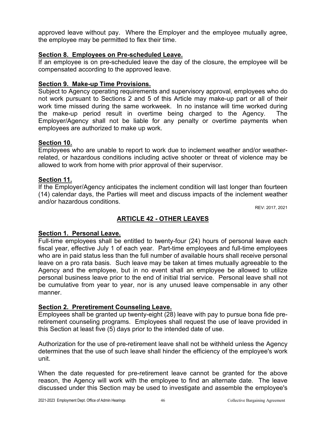approved leave without pay. Where the Employer and the employee mutually agree, the employee may be permitted to flex their time.

#### **Section 8. Employees on Pre-scheduled Leave.**

If an employee is on pre-scheduled leave the day of the closure, the employee will be compensated according to the approved leave.

### **Section 9. Make-up Time Provisions.**

Subject to Agency operating requirements and supervisory approval, employees who do not work pursuant to Sections 2 and 5 of this Article may make-up part or all of their work time missed during the same workweek. In no instance will time worked during the make-up period result in overtime being charged to the Agency. The Employer/Agency shall not be liable for any penalty or overtime payments when employees are authorized to make up work.

### **Section 10.**

Employees who are unable to report to work due to inclement weather and/or weatherrelated, or hazardous conditions including active shooter or threat of violence may be allowed to work from home with prior approval of their supervisor.

### **Section 11.**

If the Employer/Agency anticipates the inclement condition will last longer than fourteen (14) calendar days, the Parties will meet and discuss impacts of the inclement weather and/or hazardous conditions.

REV: 2017, 2021

# **ARTICLE 42 - OTHER LEAVES**

#### **Section 1. Personal Leave.**

Full-time employees shall be entitled to twenty-four (24) hours of personal leave each fiscal year, effective July 1 of each year. Part-time employees and full-time employees who are in paid status less than the full number of available hours shall receive personal leave on a pro rata basis. Such leave may be taken at times mutually agreeable to the Agency and the employee, but in no event shall an employee be allowed to utilize personal business leave prior to the end of initial trial service. Personal leave shall not be cumulative from year to year, nor is any unused leave compensable in any other manner.

#### **Section 2. Preretirement Counseling Leave.**

Employees shall be granted up twenty-eight (28) leave with pay to pursue bona fide preretirement counseling programs. Employees shall request the use of leave provided in this Section at least five (5) days prior to the intended date of use.

Authorization for the use of pre-retirement leave shall not be withheld unless the Agency determines that the use of such leave shall hinder the efficiency of the employee's work unit.

When the date requested for pre-retirement leave cannot be granted for the above reason, the Agency will work with the employee to find an alternate date. The leave discussed under this Section may be used to investigate and assemble the employee's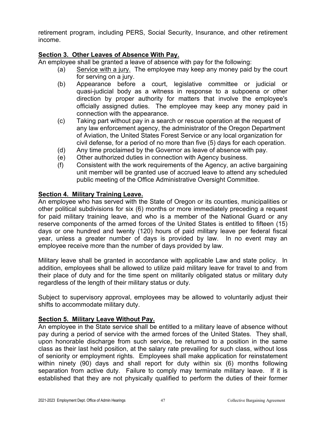retirement program, including PERS, Social Security, Insurance, and other retirement income.

### **Section 3. Other Leaves of Absence With Pay.**

An employee shall be granted a leave of absence with pay for the following:

- (a) Service with a jury. The employee may keep any money paid by the court for serving on a jury.
- (b) Appearance before a court, legislative committee or judicial or quasi-judicial body as a witness in response to a subpoena or other direction by proper authority for matters that involve the employee's officially assigned duties. The employee may keep any money paid in connection with the appearance.
- (c) Taking part without pay in a search or rescue operation at the request of any law enforcement agency, the administrator of the Oregon Department of Aviation, the United States Forest Service or any local organization for civil defense, for a period of no more than five (5) days for each operation.
- (d) Any time proclaimed by the Governor as leave of absence with pay.
- (e) Other authorized duties in connection with Agency business.
- (f) Consistent with the work requirements of the Agency, an active bargaining unit member will be granted use of accrued leave to attend any scheduled public meeting of the Office Administrative Oversight Committee.

#### **Section 4. Military Training Leave.**

An employee who has served with the State of Oregon or its counties, municipalities or other political subdivisions for six (6) months or more immediately preceding a request for paid military training leave, and who is a member of the National Guard or any reserve components of the armed forces of the United States is entitled to fifteen (15) days or one hundred and twenty (120) hours of paid military leave per federal fiscal year, unless a greater number of days is provided by law. In no event may an employee receive more than the number of days provided by law.

Military leave shall be granted in accordance with applicable Law and state policy. In addition, employees shall be allowed to utilize paid military leave for travel to and from their place of duty and for the time spent on militarily obligated status or military duty regardless of the length of their military status or duty.

Subject to supervisory approval, employees may be allowed to voluntarily adjust their shifts to accommodate military duty.

#### **Section 5. Military Leave Without Pay.**

An employee in the State service shall be entitled to a military leave of absence without pay during a period of service with the armed forces of the United States. They shall, upon honorable discharge from such service, be returned to a position in the same class as their last held position, at the salary rate prevailing for such class, without loss of seniority or employment rights. Employees shall make application for reinstatement within ninety (90) days and shall report for duty within six (6) months following separation from active duty. Failure to comply may terminate military leave. If it is established that they are not physically qualified to perform the duties of their former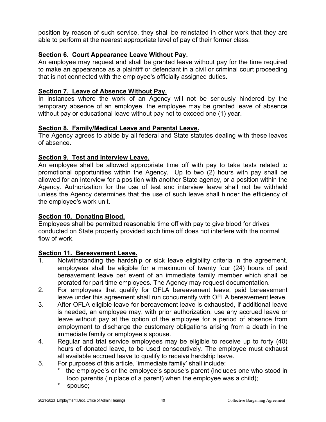position by reason of such service, they shall be reinstated in other work that they are able to perform at the nearest appropriate level of pay of their former class.

### **Section 6. Court Appearance Leave Without Pay.**

An employee may request and shall be granted leave without pay for the time required to make an appearance as a plaintiff or defendant in a civil or criminal court proceeding that is not connected with the employee's officially assigned duties.

### **Section 7. Leave of Absence Without Pay.**

In instances where the work of an Agency will not be seriously hindered by the temporary absence of an employee, the employee may be granted leave of absence without pay or educational leave without pay not to exceed one (1) year.

#### **Section 8. Family/Medical Leave and Parental Leave.**

The Agency agrees to abide by all federal and State statutes dealing with these leaves of absence.

### **Section 9. Test and Interview Leave.**

An employee shall be allowed appropriate time off with pay to take tests related to promotional opportunities within the Agency. Up to two (2) hours with pay shall be allowed for an interview for a position with another State agency, or a position within the Agency. Authorization for the use of test and interview leave shall not be withheld unless the Agency determines that the use of such leave shall hinder the efficiency of the employee's work unit.

## **Section 10. Donating Blood.**

Employees shall be permitted reasonable time off with pay to give blood for drives conducted on State property provided such time off does not interfere with the normal flow of work.

#### **Section 11. Bereavement Leave.**

- 1. Notwithstanding the hardship or sick leave eligibility criteria in the agreement, employees shall be eligible for a maximum of twenty four (24) hours of paid bereavement leave per event of an immediate family member which shall be prorated for part time employees. The Agency may request documentation.
- 2. For employees that qualify for OFLA bereavement leave, paid bereavement leave under this agreement shall run concurrently with OFLA bereavement leave.
- 3. After OFLA eligible leave for bereavement leave is exhausted, if additional leave is needed, an employee may, with prior authorization, use any accrued leave or leave without pay at the option of the employee for a period of absence from employment to discharge the customary obligations arising from a death in the immediate family or employee's spouse.
- 4. Regular and trial service employees may be eligible to receive up to forty (40) hours of donated leave, to be used consecutively. The employee must exhaust all available accrued leave to qualify to receive hardship leave.
- 5. For purposes of this article, 'immediate family' shall include:
	- the employee's or the employee's spouse's parent (includes one who stood in loco parentis (in place of a parent) when the employee was a child);
	- \* spouse;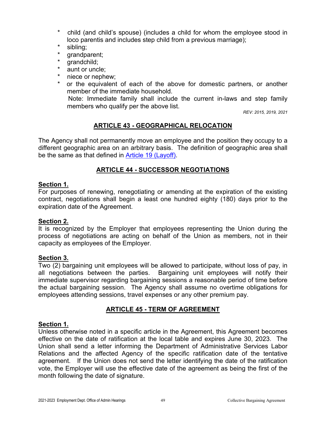- \* child (and child's spouse) (includes a child for whom the employee stood in loco parentis and includes step child from a previous marriage);
- \* sibling;<br>\* grandpr
- grandparent;
- qrandchild;
- \* aunt or uncle;<br>\* niece or nephe
- niece or nephew;
- or the equivalent of each of the above for domestic partners, or another member of the immediate household.

 Note: Immediate family shall include the current in-laws and step family members who qualify per the above list.

*REV: 2015, 2019, 2021*

### **ARTICLE 43 - GEOGRAPHICAL RELOCATION**

The Agency shall not permanently move an employee and the position they occupy to a different geographic area on an arbitrary basis. The definition of geographic area shall be the same as that defined in [Article 19 \(Layoff\).](#page-20-0)

### **ARTICLE 44 - SUCCESSOR NEGOTIATIONS**

#### **Section 1.**

For purposes of renewing, renegotiating or amending at the expiration of the existing contract, negotiations shall begin a least one hundred eighty (180) days prior to the expiration date of the Agreement.

#### **Section 2.**

It is recognized by the Employer that employees representing the Union during the process of negotiations are acting on behalf of the Union as members, not in their capacity as employees of the Employer.

#### **Section 3.**

Two (2) bargaining unit employees will be allowed to participate, without loss of pay, in all negotiations between the parties. Bargaining unit employees will notify their immediate supervisor regarding bargaining sessions a reasonable period of time before the actual bargaining session. The Agency shall assume no overtime obligations for employees attending sessions, travel expenses or any other premium pay.

## **ARTICLE 45 - TERM OF AGREEMENT**

#### **Section 1.**

Unless otherwise noted in a specific article in the Agreement, this Agreement becomes effective on the date of ratification at the local table and expires June 30, 2023. The Union shall send a letter informing the Department of Administrative Services Labor Relations and the affected Agency of the specific ratification date of the tentative agreement. If the Union does not send the letter identifying the date of the ratification vote, the Employer will use the effective date of the agreement as being the first of the month following the date of signature.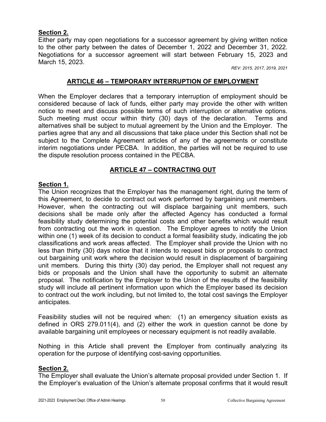### **Section 2.**

Either party may open negotiations for a successor agreement by giving written notice to the other party between the dates of December 1, 2022 and December 31, 2022. Negotiations for a successor agreement will start between February 15, 2023 and March 15, 2023.

*REV: 2015, 2017, 2019, 2021*

#### **ARTICLE 46 – TEMPORARY INTERRUPTION OF EMPLOYMENT**

When the Employer declares that a temporary interruption of employment should be considered because of lack of funds, either party may provide the other with written notice to meet and discuss possible terms of such interruption or alternative options. Such meeting must occur within thirty (30) days of the declaration. Terms and alternatives shall be subject to mutual agreement by the Union and the Employer. The parties agree that any and all discussions that take place under this Section shall not be subject to the Complete Agreement articles of any of the agreements or constitute interim negotiations under PECBA. In addition, the parties will not be required to use the dispute resolution process contained in the PECBA.

## **ARTICLE 47 – CONTRACTING OUT**

### <span id="page-52-0"></span>**Section 1.**

The Union recognizes that the Employer has the management right, during the term of this Agreement, to decide to contract out work performed by bargaining unit members. However, when the contracting out will displace bargaining unit members, such decisions shall be made only after the affected Agency has conducted a formal feasibility study determining the potential costs and other benefits which would result from contracting out the work in question. The Employer agrees to notify the Union within one (1) week of its decision to conduct a formal feasibility study, indicating the job classifications and work areas affected. The Employer shall provide the Union with no less than thirty (30) days notice that it intends to request bids or proposals to contract out bargaining unit work where the decision would result in displacement of bargaining unit members. During this thirty (30) day period, the Employer shall not request any bids or proposals and the Union shall have the opportunity to submit an alternate proposal. The notification by the Employer to the Union of the results of the feasibility study will include all pertinent information upon which the Employer based its decision to contract out the work including, but not limited to, the total cost savings the Employer anticipates.

Feasibility studies will not be required when: (1) an emergency situation exists as defined in ORS 279.011(4), and (2) either the work in question cannot be done by available bargaining unit employees or necessary equipment is not readily available.

Nothing in this Article shall prevent the Employer from continually analyzing its operation for the purpose of identifying cost-saving opportunities.

### **Section 2.**

The Employer shall evaluate the Union's alternate proposal provided under Section 1. If the Employer's evaluation of the Union's alternate proposal confirms that it would result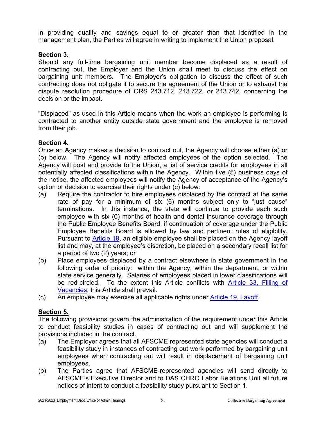in providing quality and savings equal to or greater than that identified in the management plan, the Parties will agree in writing to implement the Union proposal.

### **Section 3.**

Should any full-time bargaining unit member become displaced as a result of contracting out, the Employer and the Union shall meet to discuss the effect on bargaining unit members. The Employer's obligation to discuss the effect of such contracting does not obligate it to secure the agreement of the Union or to exhaust the dispute resolution procedure of ORS 243.712, 243.722, or 243.742, concerning the decision or the impact.

"Displaced" as used in this Article means when the work an employee is performing is contracted to another entity outside state government and the employee is removed from their job.

# **Section 4.**

Once an Agency makes a decision to contract out, the Agency will choose either (a) or (b) below. The Agency will notify affected employees of the option selected. The Agency will post and provide to the Union, a list of service credits for employees in all potentially affected classifications within the Agency. Within five (5) business days of the notice, the affected employees will notify the Agency of acceptance of the Agency's option or decision to exercise their rights under (c) below:

- (a) Require the contractor to hire employees displaced by the contract at the same rate of pay for a minimum of six (6) months subject only to "just cause" terminations. In this instance, the state will continue to provide each such employee with six (6) months of health and dental insurance coverage through the Public Employee Benefits Board, if continuation of coverage under the Public Employee Benefits Board is allowed by law and pertinent rules of eligibility. Pursuant to [Article 19,](#page-20-0) an eligible employee shall be placed on the Agency layoff list and may, at the employee's discretion, be placed on a secondary recall list for a period of two (2) years; or
- (b) Place employees displaced by a contract elsewhere in state government in the following order of priority: within the Agency, within the department, or within state service generally. Salaries of employees placed in lower classifications will be red-circled. To the extent this Article conflicts with [Article 33, Filling of](#page-33-0)  [Vacancies,](#page-33-0) this Article shall prevail.
- (c) An employee may exercise all applicable rights under [Article 19, Layoff.](#page-20-0)

# **Section 5.**

The following provisions govern the administration of the requirement under this Article to conduct feasibility studies in cases of contracting out and will supplement the provisions included in the contract.

- (a) The Employer agrees that all AFSCME represented state agencies will conduct a feasibility study in instances of contracting out work performed by bargaining unit employees when contracting out will result in displacement of bargaining unit employees.
- (b) The Parties agree that AFSCME-represented agencies will send directly to AFSCME's Executive Director and to DAS CHRO Labor Relations Unit all future notices of intent to conduct a feasibility study pursuant to Section 1.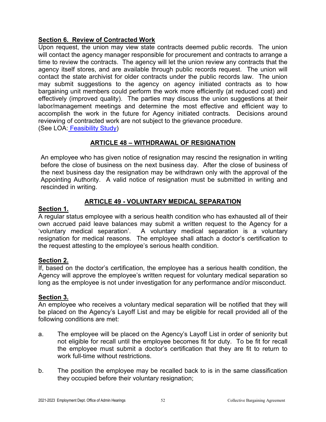## **Section 6. Review of Contracted Work**

Upon request, the union may view state contracts deemed public records. The union will contact the agency manager responsible for procurement and contracts to arrange a time to review the contracts. The agency will let the union review any contracts that the agency itself stores, and are available through public records request. The union will contact the state archivist for older contracts under the public records law. The union may submit suggestions to the agency on agency initiated contracts as to how bargaining unit members could perform the work more efficiently (at reduced cost) and effectively (improved quality). The parties may discuss the union suggestions at their labor/management meetings and determine the most effective and efficient way to accomplish the work in the future for Agency initiated contracts. Decisions around reviewing of contracted work are not subject to the grievance procedure. (See LOA: [Feasibility Study\)](#page-61-0)

**ARTICLE 48 – WITHDRAWAL OF RESIGNATION**

An employee who has given notice of resignation may rescind the resignation in writing before the close of business on the next business day. After the close of business of the next business day the resignation may be withdrawn only with the approval of the Appointing Authority. A valid notice of resignation must be submitted in writing and rescinded in writing.

## **ARTICLE 49 - VOLUNTARY MEDICAL SEPARATION**

#### **Section 1.**

A regular status employee with a serious health condition who has exhausted all of their own accrued paid leave balances may submit a written request to the Agency for a 'voluntary medical separation'. A voluntary medical separation is a voluntary resignation for medical reasons. The employee shall attach a doctor's certification to the request attesting to the employee's serious health condition.

## **Section 2.**

If, based on the doctor's certification, the employee has a serious health condition, the Agency will approve the employee's written request for voluntary medical separation so long as the employee is not under investigation for any performance and/or misconduct.

#### **Section 3.**

An employee who receives a voluntary medical separation will be notified that they will be placed on the Agency's Layoff List and may be eligible for recall provided all of the following conditions are met:

- a. The employee will be placed on the Agency's Layoff List in order of seniority but not eligible for recall until the employee becomes fit for duty. To be fit for recall the employee must submit a doctor's certification that they are fit to return to work full-time without restrictions.
- b. The position the employee may be recalled back to is in the same classification they occupied before their voluntary resignation;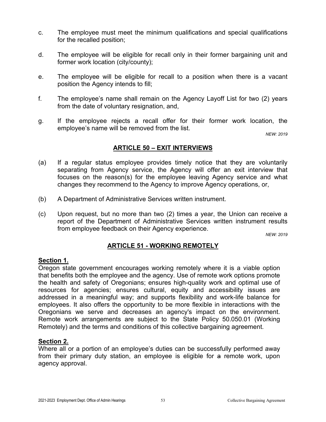- c. The employee must meet the minimum qualifications and special qualifications for the recalled position;
- d. The employee will be eligible for recall only in their former bargaining unit and former work location (city/county);
- e. The employee will be eligible for recall to a position when there is a vacant position the Agency intends to fill;
- f. The employee's name shall remain on the Agency Layoff List for two (2) years from the date of voluntary resignation, and,
- g. If the employee rejects a recall offer for their former work location, the employee's name will be removed from the list.

*NEW: 2019*

#### **ARTICLE 50 – EXIT INTERVIEWS**

- (a) If a regular status employee provides timely notice that they are voluntarily separating from Agency service, the Agency will offer an exit interview that focuses on the reason(s) for the employee leaving Agency service and what changes they recommend to the Agency to improve Agency operations, or,
- (b) A Department of Administrative Services written instrument.
- (c) Upon request, but no more than two (2) times a year, the Union can receive a report of the Department of Administrative Services written instrument results from employee feedback on their Agency experience.

*NEW: 2019*

## **ARTICLE 51 - WORKING REMOTELY**

#### **Section 1.**

Oregon state government encourages working remotely where it is a viable option that benefits both the employee and the agency. Use of remote work options promote the health and safety of Oregonians; ensures high-quality work and optimal use of resources for agencies; ensures cultural, equity and accessibility issues are addressed in a meaningful way; and supports flexibility and work-life balance for employees. It also offers the opportunity to be more flexible in interactions with the Oregonians we serve and decreases an agency's impact on the environment. Remote work arrangements are subject to the State Policy 50.050.01 (Working Remotely) and the terms and conditions of this collective bargaining agreement.

#### **Section 2.**

Where all or a portion of an employee's duties can be successfully performed away from their primary duty station, an employee is eligible for a remote work, upon agency approval.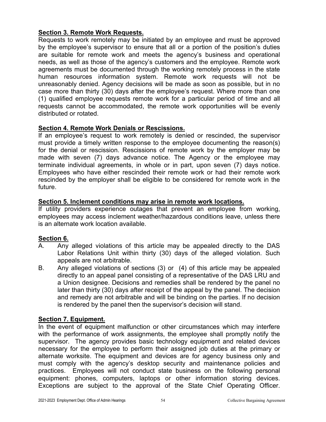### **Section 3. Remote Work Requests.**

Requests to work remotely may be initiated by an employee and must be approved by the employee's supervisor to ensure that all or a portion of the position's duties are suitable for remote work and meets the agency's business and operational needs, as well as those of the agency's customers and the employee. Remote work agreements must be documented through the working remotely process in the state human resources information system. Remote work requests will not be unreasonably denied. Agency decisions will be made as soon as possible, but in no case more than thirty (30) days after the employee's request. Where more than one (1) qualified employee requests remote work for a particular period of time and all requests cannot be accommodated, the remote work opportunities will be evenly distributed or rotated.

### **Section 4. Remote Work Denials or Rescissions.**

If an employee's request to work remotely is denied or rescinded, the supervisor must provide a timely written response to the employee documenting the reason(s) for the denial or rescission. Rescissions of remote work by the employer may be made with seven (7) days advance notice. The Agency or the employee may terminate individual agreements, in whole or in part, upon seven (7) days notice. Employees who have either rescinded their remote work or had their remote work rescinded by the employer shall be eligible to be considered for remote work in the future.

## **Section 5. Inclement conditions may arise in remote work locations.**

If utility providers experience outages that prevent an employee from working, employees may access inclement weather/hazardous conditions leave, unless there is an alternate work location available.

## **Section 6.**

- A. Any alleged violations of this article may be appealed directly to the DAS Labor Relations Unit within thirty (30) days of the alleged violation. Such appeals are not arbitrable.
- B. Any alleged violations of sections (3) or (4) of this article may be appealed directly to an appeal panel consisting of a representative of the DAS LRU and a Union designee. Decisions and remedies shall be rendered by the panel no later than thirty (30) days after receipt of the appeal by the panel. The decision and remedy are not arbitrable and will be binding on the parties. If no decision is rendered by the panel then the supervisor's decision will stand.

## **Section 7. Equipment.**

In the event of equipment malfunction or other circumstances which may interfere with the performance of work assignments, the employee shall promptly notify the supervisor. The agency provides basic technology equipment and related devices necessary for the employee to perform their assigned job duties at the primary or alternate worksite. The equipment and devices are for agency business only and must comply with the agency's desktop security and maintenance policies and practices. Employees will not conduct state business on the following personal equipment: phones, computers, laptops or other information storing devices. Exceptions are subject to the approval of the State Chief Operating Officer.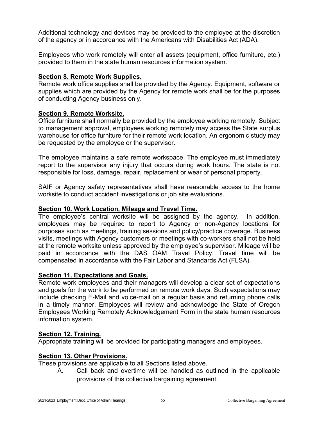Additional technology and devices may be provided to the employee at the discretion of the agency or in accordance with the Americans with Disabilities Act (ADA).

Employees who work remotely will enter all assets (equipment, office furniture, etc.) provided to them in the state human resources information system.

### **Section 8. Remote Work Supplies.**

Remote work office supplies shall be provided by the Agency. Equipment, software or supplies which are provided by the Agency for remote work shall be for the purposes of conducting Agency business only.

### **Section 9. Remote Worksite.**

Office furniture shall normally be provided by the employee working remotely. Subject to management approval, employees working remotely may access the State surplus warehouse for office furniture for their remote work location. An ergonomic study may be requested by the employee or the supervisor.

The employee maintains a safe remote workspace. The employee must immediately report to the supervisor any injury that occurs during work hours. The state is not responsible for loss, damage, repair, replacement or wear of personal property.

SAIF or Agency safety representatives shall have reasonable access to the home worksite to conduct accident investigations or job site evaluations.

### **Section 10. Work Location, Mileage and Travel Time.**

The employee's central worksite will be assigned by the agency. In addition, employees may be required to report to Agency or non-Agency locations for purposes such as meetings, training sessions and policy/practice coverage. Business visits, meetings with Agency customers or meetings with co-workers shall not be held at the remote worksite unless approved by the employee's supervisor. Mileage will be paid in accordance with the DAS OAM Travel Policy. Travel time will be compensated in accordance with the Fair Labor and Standards Act (FLSA).

#### **Section 11. Expectations and Goals.**

Remote work employees and their managers will develop a clear set of expectations and goals for the work to be performed on remote work days. Such expectations may include checking E-Mail and voice-mail on a regular basis and returning phone calls in a timely manner. Employees will review and acknowledge the State of Oregon Employees Working Remotely Acknowledgement Form in the state human resources information system.

## **Section 12. Training.**

Appropriate training will be provided for participating managers and employees.

#### **Section 13. Other Provisions.**

These provisions are applicable to all Sections listed above.

A. Call back and overtime will be handled as outlined in the applicable provisions of this collective bargaining agreement.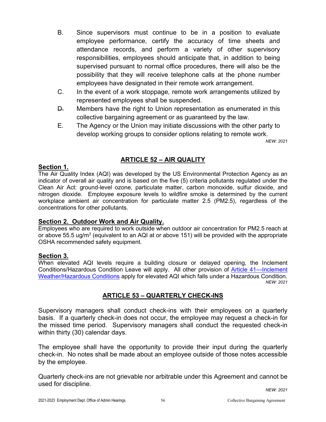- B. Since supervisors must continue to be in a position to evaluate employee performance, certify the accuracy of time sheets and attendance records, and perform a variety of other supervisory responsibilities, employees should anticipate that, in addition to being supervised pursuant to normal office procedures, there will also be the possibility that they will receive telephone calls at the phone number employees have designated in their remote work arrangement.
- C. In the event of a work stoppage, remote work arrangements utilized by represented employees shall be suspended.
- D. Members have the right to Union representation as enumerated in this collective bargaining agreement or as guaranteed by the law.
- E. The Agency or the Union may initiate discussions with the other party to develop working groups to consider options relating to remote work.

*NEW: 2021*

# **ARTICLE 52 – AIR QUALITY**

#### **Section 1.**

The Air Quality Index (AQI) was developed by the US Environmental Protection Agency as an indicator of overall air quality and is based on the five (5) criteria pollutants regulated under the Clean Air Act: ground-level ozone, particulate matter, carbon monoxide, sulfur dioxide, and nitrogen dioxide. Employee exposure levels to wildfire smoke is determined by the current workplace ambient air concentration for particulate matter 2.5 (PM2.5), regardless of the concentrations for other pollutants.

#### **Section 2. Outdoor Work and Air Quality.**

Employees who are required to work outside when outdoor air concentration for PM2.5 reach at or above 55.5 ug/m<sup>3</sup> (equivalent to an AQI at or above 151) will be provided with the appropriate OSHA recommended safety equipment.

#### **Section 3.**

When elevated AQI levels require a building closure or delayed opening, the Inclement Conditions/Hazardous Condition Leave will apply. All other provision of [Article 41—Inclement](#page-45-0)  [Weather/Hazardous Conditions](#page-45-0) apply for elevated AQI which falls under a Hazardous Condition. *NEW: 2021*

# **ARTICLE 53 – QUARTERLY CHECK-INS**

Supervisory managers shall conduct check-ins with their employees on a quarterly basis. If a quarterly check-in does not occur, the employee may request a check-in for the missed time period. Supervisory managers shall conduct the requested check-in within thirty (30) calendar days.

The employee shall have the opportunity to provide their input during the quarterly check-in. No notes shall be made about an employee outside of those notes accessible by the employee.

Quarterly check-ins are not grievable nor arbitrable under this Agreement and cannot be used for discipline.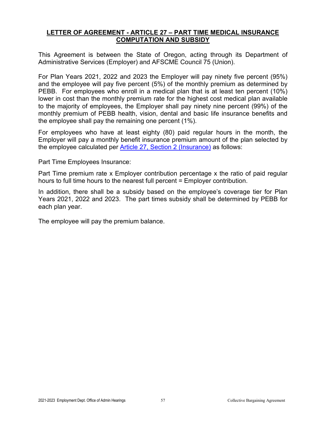#### **LETTER OF AGREEMENT - ARTICLE 27 – PART TIME MEDICAL INSURANCE COMPUTATION AND SUBSIDY**

This Agreement is between the State of Oregon, acting through its Department of Administrative Services (Employer) and AFSCME Council 75 (Union).

For Plan Years 2021, 2022 and 2023 the Employer will pay ninety five percent (95%) and the employee will pay five percent (5%) of the monthly premium as determined by PEBB. For employees who enroll in a medical plan that is at least ten percent (10%) lower in cost than the monthly premium rate for the highest cost medical plan available to the majority of employees, the Employer shall pay ninety nine percent (99%) of the monthly premium of PEBB health, vision, dental and basic life insurance benefits and the employee shall pay the remaining one percent (1%).

For employees who have at least eighty (80) paid regular hours in the month, the Employer will pay a monthly benefit insurance premium amount of the plan selected by the employee calculated per [Article 27, Section 2 \(Insurance\)](#page-29-0) as follows:

Part Time Employees Insurance:

Part Time premium rate x Employer contribution percentage x the ratio of paid regular hours to full time hours to the nearest full percent = Employer contribution.

In addition, there shall be a subsidy based on the employee's coverage tier for Plan Years 2021, 2022 and 2023. The part times subsidy shall be determined by PEBB for each plan year.

The employee will pay the premium balance.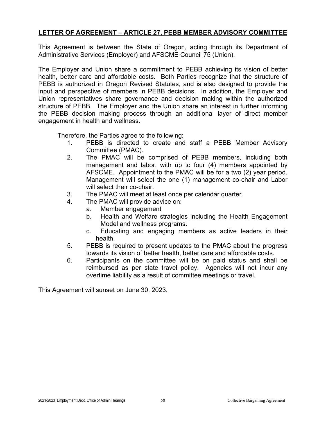### **LETTER OF AGREEMENT – ARTICLE 27, PEBB MEMBER ADVISORY COMMITTEE**

This Agreement is between the State of Oregon, acting through its Department of Administrative Services (Employer) and AFSCME Council 75 (Union).

The Employer and Union share a commitment to PEBB achieving its vision of better health, better care and affordable costs. Both Parties recognize that the structure of PEBB is authorized in Oregon Revised Statutes, and is also designed to provide the input and perspective of members in PEBB decisions. In addition, the Employer and Union representatives share governance and decision making within the authorized structure of PEBB. The Employer and the Union share an interest in further informing the PEBB decision making process through an additional layer of direct member engagement in health and wellness.

Therefore, the Parties agree to the following:

- 1. PEBB is directed to create and staff a PEBB Member Advisory Committee (PMAC).
- 2. The PMAC will be comprised of PEBB members, including both management and labor, with up to four (4) members appointed by AFSCME. Appointment to the PMAC will be for a two (2) year period. Management will select the one (1) management co-chair and Labor will select their co-chair.
- 3. The PMAC will meet at least once per calendar quarter.
- 4. The PMAC will provide advice on:
	- a. Member engagement
		- b. Health and Welfare strategies including the Health Engagement Model and wellness programs.
		- c. Educating and engaging members as active leaders in their health.
- 5. PEBB is required to present updates to the PMAC about the progress towards its vision of better health, better care and affordable costs.
- 6. Participants on the committee will be on paid status and shall be reimbursed as per state travel policy. Agencies will not incur any overtime liability as a result of committee meetings or travel.

This Agreement will sunset on June 30, 2023.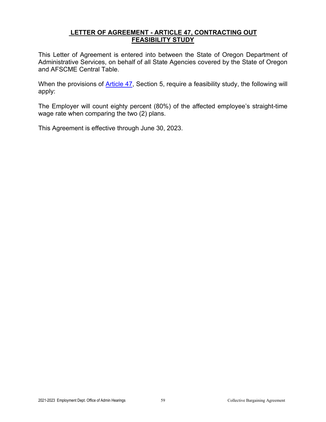#### <span id="page-61-0"></span>**LETTER OF AGREEMENT - ARTICLE 47, CONTRACTING OUT FEASIBILITY STUDY**

This Letter of Agreement is entered into between the State of Oregon Department of Administrative Services, on behalf of all State Agencies covered by the State of Oregon and AFSCME Central Table.

When the provisions of [Article 47,](#page-52-0) Section 5, require a feasibility study, the following will apply:

The Employer will count eighty percent (80%) of the affected employee's straight-time wage rate when comparing the two (2) plans.

This Agreement is effective through June 30, 2023.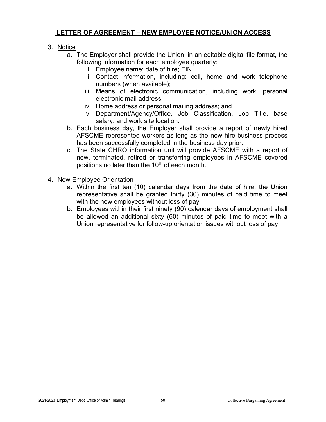## **LETTER OF AGREEMENT – NEW EMPLOYEE NOTICE/UNION ACCESS**

## 3. Notice

- a. The Employer shall provide the Union, in an editable digital file format, the following information for each employee quarterly:
	- i. Employee name; date of hire; EIN
	- ii. Contact information, including: cell, home and work telephone numbers (when available);
	- iii. Means of electronic communication, including work, personal electronic mail address;
	- iv. Home address or personal mailing address; and
	- v. Department/Agency/Office, Job Classification, Job Title, base salary, and work site location.
- b. Each business day, the Employer shall provide a report of newly hired AFSCME represented workers as long as the new hire business process has been successfully completed in the business day prior.
- c. The State CHRO information unit will provide AFSCME with a report of new, terminated, retired or transferring employees in AFSCME covered positions no later than the 10<sup>th</sup> of each month.
- 4. New Employee Orientation
	- a. Within the first ten (10) calendar days from the date of hire, the Union representative shall be granted thirty (30) minutes of paid time to meet with the new employees without loss of pay.
	- b. Employees within their first ninety (90) calendar days of employment shall be allowed an additional sixty (60) minutes of paid time to meet with a Union representative for follow-up orientation issues without loss of pay.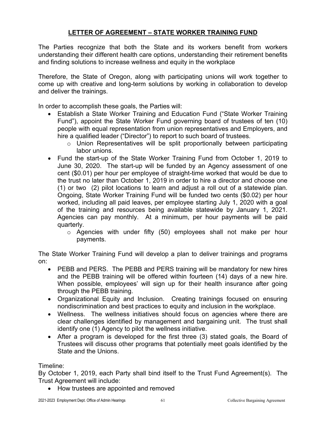# **LETTER OF AGREEMENT – STATE WORKER TRAINING FUND**

The Parties recognize that both the State and its workers benefit from workers understanding their different health care options, understanding their retirement benefits and finding solutions to increase wellness and equity in the workplace

Therefore, the State of Oregon, along with participating unions will work together to come up with creative and long-term solutions by working in collaboration to develop and deliver the trainings.

In order to accomplish these goals, the Parties will:

- Establish a State Worker Training and Education Fund ("State Worker Training Fund"), appoint the State Worker Fund governing board of trustees of ten (10) people with equal representation from union representatives and Employers, and hire a qualified leader ("Director") to report to such board of trustees.
	- o Union Representatives will be split proportionally between participating labor unions.
- Fund the start-up of the State Worker Training Fund from October 1, 2019 to June 30, 2020. The start-up will be funded by an Agency assessment of one cent (\$0.01) per hour per employee of straight-time worked that would be due to the trust no later than October 1, 2019 in order to hire a director and choose one (1) or two (2) pilot locations to learn and adjust a roll out of a statewide plan. Ongoing, State Worker Training Fund will be funded two cents (\$0.02) per hour worked, including all paid leaves, per employee starting July 1, 2020 with a goal of the training and resources being available statewide by January 1, 2021. Agencies can pay monthly. At a minimum, per hour payments will be paid quarterly.
	- o Agencies with under fifty (50) employees shall not make per hour payments.

The State Worker Training Fund will develop a plan to deliver trainings and programs on:

- PEBB and PERS. The PEBB and PERS training will be mandatory for new hires and the PEBB training will be offered within fourteen (14) days of a new hire. When possible, employees' will sign up for their health insurance after going through the PEBB training.
- Organizational Equity and Inclusion. Creating trainings focused on ensuring nondiscrimination and best practices to equity and inclusion in the workplace.
- Wellness. The wellness initiatives should focus on agencies where there are clear challenges identified by management and bargaining unit. The trust shall identify one (1) Agency to pilot the wellness initiative.
- After a program is developed for the first three (3) stated goals, the Board of Trustees will discuss other programs that potentially meet goals identified by the State and the Unions.

Timeline:

By October 1, 2019, each Party shall bind itself to the Trust Fund Agreement(s). The Trust Agreement will include:

• How trustees are appointed and removed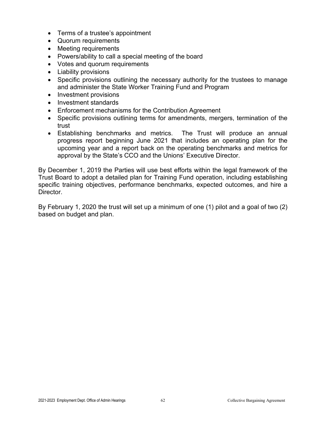- Terms of a trustee's appointment
- Quorum requirements
- Meeting requirements
- Powers/ability to call a special meeting of the board
- Votes and quorum requirements
- Liability provisions
- Specific provisions outlining the necessary authority for the trustees to manage and administer the State Worker Training Fund and Program
- Investment provisions
- Investment standards
- Enforcement mechanisms for the Contribution Agreement
- Specific provisions outlining terms for amendments, mergers, termination of the trust
- Establishing benchmarks and metrics. The Trust will produce an annual progress report beginning June 2021 that includes an operating plan for the upcoming year and a report back on the operating benchmarks and metrics for approval by the State's CCO and the Unions' Executive Director.

By December 1, 2019 the Parties will use best efforts within the legal framework of the Trust Board to adopt a detailed plan for Training Fund operation, including establishing specific training objectives, performance benchmarks, expected outcomes, and hire a **Director** 

By February 1, 2020 the trust will set up a minimum of one (1) pilot and a goal of two (2) based on budget and plan.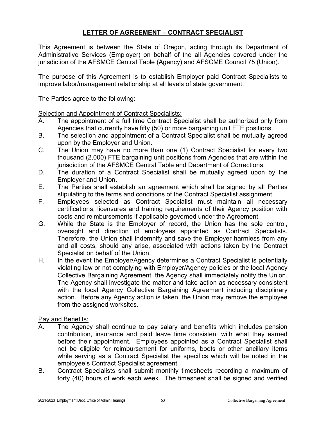# **LETTER OF AGREEMENT – CONTRACT SPECIALIST**

This Agreement is between the State of Oregon, acting through its Department of Administrative Services (Employer) on behalf of the all Agencies covered under the jurisdiction of the AFSMCE Central Table (Agency) and AFSCME Council 75 (Union).

The purpose of this Agreement is to establish Employer paid Contract Specialists to improve labor/management relationship at all levels of state government.

The Parties agree to the following:

Selection and Appointment of Contract Specialists:

- A. The appointment of a full time Contract Specialist shall be authorized only from Agencies that currently have fifty (50) or more bargaining unit FTE positions.
- B. The selection and appointment of a Contract Specialist shall be mutually agreed upon by the Employer and Union.
- C. The Union may have no more than one (1) Contract Specialist for every two thousand (2,000) FTE bargaining unit positions from Agencies that are within the jurisdiction of the AFSMCE Central Table and Department of Corrections.
- D. The duration of a Contract Specialist shall be mutually agreed upon by the Employer and Union.
- E. The Parties shall establish an agreement which shall be signed by all Parties stipulating to the terms and conditions of the Contract Specialist assignment.
- F. Employees selected as Contract Specialist must maintain all necessary certifications, licensures and training requirements of their Agency position with costs and reimbursements if applicable governed under the Agreement.
- G. While the State is the Employer of record, the Union has the sole control, oversight and direction of employees appointed as Contract Specialists. Therefore, the Union shall indemnify and save the Employer harmless from any and all costs, should any arise, associated with actions taken by the Contract Specialist on behalf of the Union.
- H. In the event the Employer/Agency determines a Contract Specialist is potentially violating law or not complying with Employer/Agency policies or the local Agency Collective Bargaining Agreement, the Agency shall immediately notify the Union. The Agency shall investigate the matter and take action as necessary consistent with the local Agency Collective Bargaining Agreement including disciplinary action. Before any Agency action is taken, the Union may remove the employee from the assigned worksites.

#### Pay and Benefits:

- A. The Agency shall continue to pay salary and benefits which includes pension contribution, insurance and paid leave time consistent with what they earned before their appointment. Employees appointed as a Contract Specialist shall not be eligible for reimbursement for uniforms, boots or other ancillary items while serving as a Contract Specialist the specifics which will be noted in the employee's Contract Specialist agreement.
- B. Contract Specialists shall submit monthly timesheets recording a maximum of forty (40) hours of work each week. The timesheet shall be signed and verified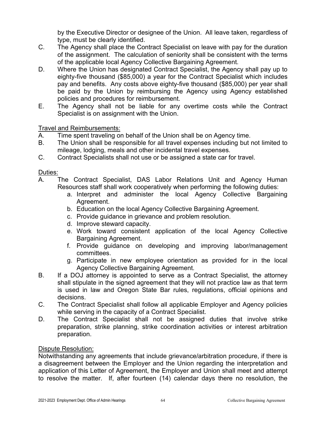by the Executive Director or designee of the Union. All leave taken, regardless of type, must be clearly identified.

- C. The Agency shall place the Contract Specialist on leave with pay for the duration of the assignment. The calculation of seniority shall be consistent with the terms of the applicable local Agency Collective Bargaining Agreement.
- D. Where the Union has designated Contract Specialist, the Agency shall pay up to eighty-five thousand (\$85,000) a year for the Contract Specialist which includes pay and benefits. Any costs above eighty-five thousand (\$85,000) per year shall be paid by the Union by reimbursing the Agency using Agency established policies and procedures for reimbursement.
- E. The Agency shall not be liable for any overtime costs while the Contract Specialist is on assignment with the Union.

### Travel and Reimbursements:

- A. Time spent traveling on behalf of the Union shall be on Agency time.
- B. The Union shall be responsible for all travel expenses including but not limited to mileage, lodging, meals and other incidental travel expenses.
- C. Contract Specialists shall not use or be assigned a state car for travel.

#### Duties:

- A. The Contract Specialist, DAS Labor Relations Unit and Agency Human Resources staff shall work cooperatively when performing the following duties:
	- a. Interpret and administer the local Agency Collective Bargaining Agreement.
	- b. Education on the local Agency Collective Bargaining Agreement.
	- c. Provide guidance in grievance and problem resolution.
	- d. Improve steward capacity.
	- e. Work toward consistent application of the local Agency Collective Bargaining Agreement.
	- f. Provide guidance on developing and improving labor/management committees.
	- g. Participate in new employee orientation as provided for in the local Agency Collective Bargaining Agreement.
- B. If a DOJ attorney is appointed to serve as a Contract Specialist, the attorney shall stipulate in the signed agreement that they will not practice law as that term is used in law and Oregon State Bar rules, regulations, official opinions and decisions.
- C. The Contract Specialist shall follow all applicable Employer and Agency policies while serving in the capacity of a Contract Specialist.
- D. The Contract Specialist shall not be assigned duties that involve strike preparation, strike planning, strike coordination activities or interest arbitration preparation.

#### Dispute Resolution:

Notwithstanding any agreements that include grievance/arbitration procedure, if there is a disagreement between the Employer and the Union regarding the interpretation and application of this Letter of Agreement, the Employer and Union shall meet and attempt to resolve the matter. If, after fourteen (14) calendar days there no resolution, the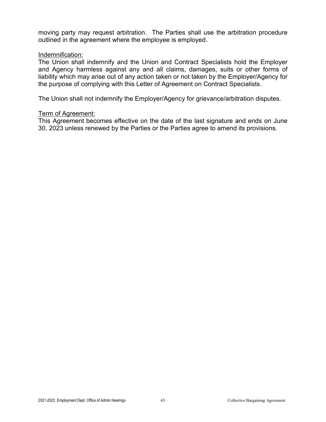moving party may request arbitration. The Parties shall use the arbitration procedure outlined in the agreement where the employee is employed.

#### Indemnification:

The Union shall indemnify and the Union and Contract Specialists hold the Employer and Agency harmless against any and all claims, damages, suits or other forms of liability which may arise out of any action taken or not taken by the Employer/Agency for the purpose of complying with this Letter of Agreement on Contract Specialists.

The Union shall not indemnify the Employer/Agency for grievance/arbitration disputes.

#### Term of Agreement:

This Agreement becomes effective on the date of the last signature and ends on June 30, 2023 unless renewed by the Parties or the Parties agree to amend its provisions.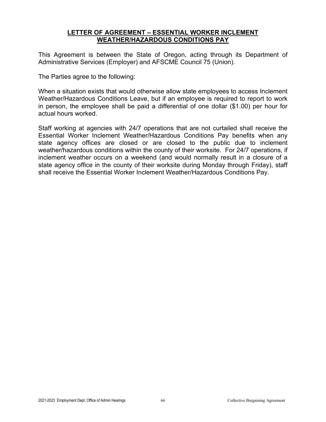#### **LETTER OF AGREEMENT – ESSENTIAL WORKER INCLEMENT WEATHER/HAZARDOUS CONDITIONS PAY**

This Agreement is between the State of Oregon, acting through its Department of Administrative Services (Employer) and AFSCME Council 75 (Union).

The Parties agree to the following:

When a situation exists that would otherwise allow state employees to access Inclement Weather/Hazardous Conditions Leave, but if an employee is required to report to work in person, the employee shall be paid a differential of one dollar (\$1.00) per hour for actual hours worked.

Staff working at agencies with 24/7 operations that are not curtailed shall receive the Essential Worker Inclement Weather/Hazardous Conditions Pay benefits when any state agency offices are closed or are closed to the public due to inclement weather/hazardous conditions within the county of their worksite. For 24/7 operations, if inclement weather occurs on a weekend (and would normally result in a closure of a state agency office in the county of their worksite during Monday through Friday), staff shall receive the Essential Worker Inclement Weather/Hazardous Conditions Pay.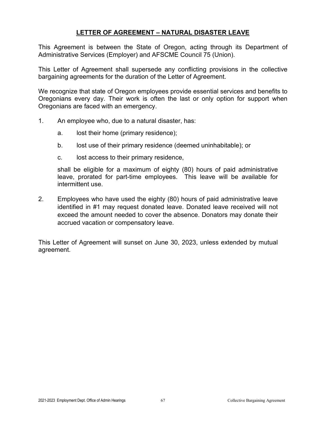### **LETTER OF AGREEMENT – NATURAL DISASTER LEAVE**

This Agreement is between the State of Oregon, acting through its Department of Administrative Services (Employer) and AFSCME Council 75 (Union).

This Letter of Agreement shall supersede any conflicting provisions in the collective bargaining agreements for the duration of the Letter of Agreement.

We recognize that state of Oregon employees provide essential services and benefits to Oregonians every day. Their work is often the last or only option for support when Oregonians are faced with an emergency.

- 1. An employee who, due to a natural disaster, has:
	- a. lost their home (primary residence);
	- b. lost use of their primary residence (deemed uninhabitable); or
	- c. lost access to their primary residence,

shall be eligible for a maximum of eighty (80) hours of paid administrative leave, prorated for part-time employees. This leave will be available for intermittent use.

2. Employees who have used the eighty (80) hours of paid administrative leave identified in #1 may request donated leave. Donated leave received will not exceed the amount needed to cover the absence. Donators may donate their accrued vacation or compensatory leave.

This Letter of Agreement will sunset on June 30, 2023, unless extended by mutual agreement.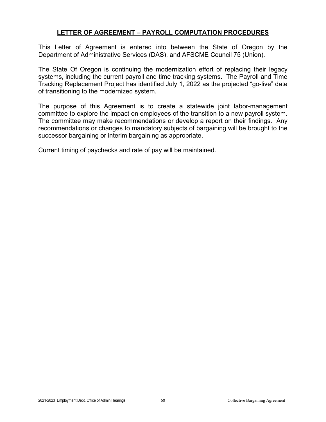## **LETTER OF AGREEMENT – PAYROLL COMPUTATION PROCEDURES**

This Letter of Agreement is entered into between the State of Oregon by the Department of Administrative Services (DAS), and AFSCME Council 75 (Union).

The State Of Oregon is continuing the modernization effort of replacing their legacy systems, including the current payroll and time tracking systems. The Payroll and Time Tracking Replacement Project has identified July 1, 2022 as the projected "go-live" date of transitioning to the modernized system.

The purpose of this Agreement is to create a statewide joint labor-management committee to explore the impact on employees of the transition to a new payroll system. The committee may make recommendations or develop a report on their findings. Any recommendations or changes to mandatory subjects of bargaining will be brought to the successor bargaining or interim bargaining as appropriate.

Current timing of paychecks and rate of pay will be maintained.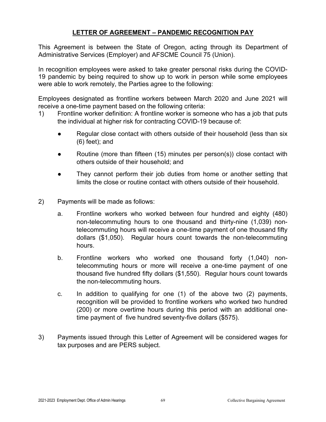# **LETTER OF AGREEMENT – PANDEMIC RECOGNITION PAY**

This Agreement is between the State of Oregon, acting through its Department of Administrative Services (Employer) and AFSCME Council 75 (Union).

In recognition employees were asked to take greater personal risks during the COVID-19 pandemic by being required to show up to work in person while some employees were able to work remotely, the Parties agree to the following:

Employees designated as frontline workers between March 2020 and June 2021 will receive a one-time payment based on the following criteria:

- 1) Frontline worker definition: A frontline worker is someone who has a job that puts the individual at higher risk for contracting COVID-19 because of:
	- Regular close contact with others outside of their household (less than six (6) feet); and
	- Routine (more than fifteen (15) minutes per person(s)) close contact with others outside of their household; and
	- They cannot perform their job duties from home or another setting that limits the close or routine contact with others outside of their household.
- 2) Payments will be made as follows:
	- a. Frontline workers who worked between four hundred and eighty (480) non-telecommuting hours to one thousand and thirty-nine (1,039) nontelecommuting hours will receive a one-time payment of one thousand fifty dollars (\$1,050). Regular hours count towards the non-telecommuting hours.
	- b. Frontline workers who worked one thousand forty (1,040) nontelecommuting hours or more will receive a one-time payment of one thousand five hundred fifty dollars (\$1,550). Regular hours count towards the non-telecommuting hours.
	- c. In addition to qualifying for one (1) of the above two (2) payments, recognition will be provided to frontline workers who worked two hundred (200) or more overtime hours during this period with an additional onetime payment of five hundred seventy-five dollars (\$575).
- 3) Payments issued through this Letter of Agreement will be considered wages for tax purposes and are PERS subject.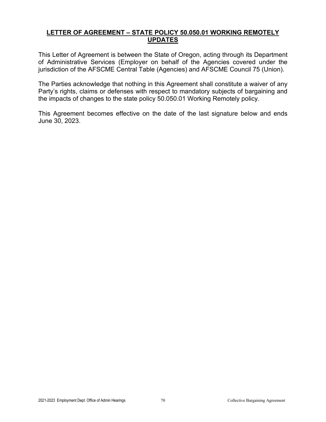## **LETTER OF AGREEMENT – STATE POLICY 50.050.01 WORKING REMOTELY UPDATES**

This Letter of Agreement is between the State of Oregon, acting through its Department of Administrative Services (Employer on behalf of the Agencies covered under the jurisdiction of the AFSCME Central Table (Agencies) and AFSCME Council 75 (Union).

The Parties acknowledge that nothing in this Agreement shall constitute a waiver of any Party's rights, claims or defenses with respect to mandatory subjects of bargaining and the impacts of changes to the state policy 50.050.01 Working Remotely policy.

This Agreement becomes effective on the date of the last signature below and ends June 30, 2023.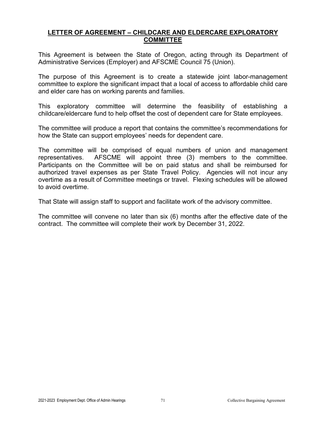## **LETTER OF AGREEMENT – CHILDCARE AND ELDERCARE EXPLORATORY COMMITTEE**

This Agreement is between the State of Oregon, acting through its Department of Administrative Services (Employer) and AFSCME Council 75 (Union).

The purpose of this Agreement is to create a statewide joint labor-management committee to explore the significant impact that a local of access to affordable child care and elder care has on working parents and families.

This exploratory committee will determine the feasibility of establishing a childcare/eldercare fund to help offset the cost of dependent care for State employees.

The committee will produce a report that contains the committee's recommendations for how the State can support employees' needs for dependent care.

The committee will be comprised of equal numbers of union and management representatives. AFSCME will appoint three (3) members to the committee. Participants on the Committee will be on paid status and shall be reimbursed for authorized travel expenses as per State Travel Policy. Agencies will not incur any overtime as a result of Committee meetings or travel. Flexing schedules will be allowed to avoid overtime.

That State will assign staff to support and facilitate work of the advisory committee.

The committee will convene no later than six (6) months after the effective date of the contract. The committee will complete their work by December 31, 2022.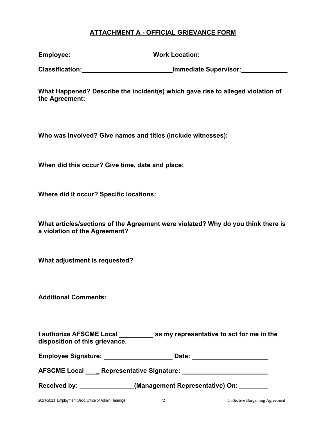## **ATTACHMENT A - OFFICIAL GRIEVANCE FORM**

| Employee: | <b>Work Location:</b> |
|-----------|-----------------------|
|-----------|-----------------------|

**Classification: Immediate Supervisor:**

**What Happened? Describe the incident(s) which gave rise to alleged violation of the Agreement:**

**Who was Involved? Give names and titles (include witnesses):**

**When did this occur? Give time, date and place:**

**Where did it occur? Specific locations:**

| What articles/sections of the Agreement were violated? Why do you think there is |
|----------------------------------------------------------------------------------|
| a violation of the Agreement?                                                    |

**What adjustment is requested?**

**Additional Comments:**

| I authorize AFSCME Local       | as my representative to act for me in the |
|--------------------------------|-------------------------------------------|
| disposition of this grievance. |                                           |

| <b>Employee Signature:</b> | Date: |  |
|----------------------------|-------|--|
|                            |       |  |

**AFSCME Local \_ Representative Signature:** 

Received by: **Neceived by:** (Management Representative) On: <u>Community of Australian Benedict</u>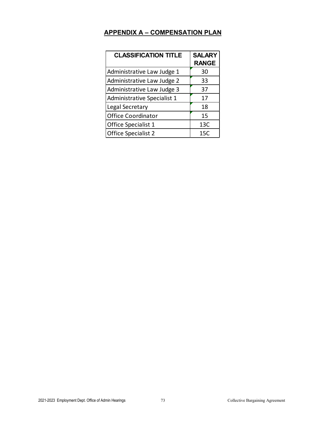# **APPENDIX A – COMPENSATION PLAN**

| <b>CLASSIFICATION TITLE</b>        | <b>SALARY</b><br><b>RANGE</b> |
|------------------------------------|-------------------------------|
| Administrative Law Judge 1         | 30                            |
| Administrative Law Judge 2         | 33                            |
| Administrative Law Judge 3         | 37                            |
| <b>Administrative Specialist 1</b> | 17                            |
| Legal Secretary                    | 18                            |
| <b>Office Coordinator</b>          | 15                            |
| Office Specialist 1                | 13C                           |
| <b>Office Specialist 2</b>         | 15C                           |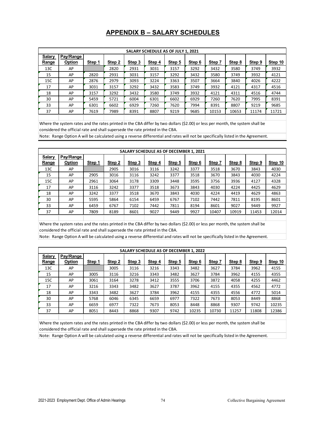## **APPENDIX B – SALARY SCHEDULES**

| SALARY SCHEDULE AS OF JULY 1, 2021 |               |        |        |        |        |        |        |        |        |        |                |
|------------------------------------|---------------|--------|--------|--------|--------|--------|--------|--------|--------|--------|----------------|
| <b>Salary</b>                      | Pay/Range     |        |        |        |        |        |        |        |        |        |                |
| <b>Range</b>                       | <b>Option</b> | Step 1 | Step 2 | Step 3 | Step 4 | Step 5 | Step 6 | Step 7 | Step 8 | Step 9 | <b>Step 10</b> |
| 13C                                | AP            |        | 2820   | 2931   | 3031   | 3157   | 3292   | 3432   | 3580   | 3749   | 3932           |
| 15                                 | AP            | 2820   | 2931   | 3031   | 3157   | 3292   | 3432   | 3580   | 3749   | 3932   | 4121           |
| 15C                                | AP            | 2876   | 2979   | 3093   | 3224   | 3363   | 3507   | 3664   | 3840   | 4026   | 4222           |
| 17                                 | AP            | 3031   | 3157   | 3292   | 3432   | 3583   | 3749   | 3932   | 4121   | 4317   | 4516           |
| 18                                 | AP            | 3157   | 3292   | 3432   | 3580   | 3749   | 3932   | 4121   | 4311   | 4516   | 4744           |
| 30                                 | AP            | 5459   | 5721   | 6004   | 6301   | 6602   | 6929   | 7260   | 7620   | 7995   | 8391           |
| 33                                 | AP            | 6301   | 6602   | 6929   | 7260   | 7620   | 7994   | 8391   | 8807   | 9219   | 9685           |
| 37                                 | AP            | 7619   | 7989   | 8391   | 8807   | 9219   | 9685   | 10153  | 10653  | 11174  | 11721          |
|                                    |               |        |        |        |        |        |        |        |        |        |                |

Where the system rates and the rates printed in the CBA differ by two dollars (\$2.00) or less per month, the system shall be considered the official rate and shall supersede the rate printed in the CBA.

Note: Range Option A will be calculated using a reverse differential and rates will not be specifically listed in the Agreement.

| SALARY SCHEDULE AS OF DECEMBER 1, 2021 |           |        |        |        |        |        |        |        |        |        |         |
|----------------------------------------|-----------|--------|--------|--------|--------|--------|--------|--------|--------|--------|---------|
| <b>Salary</b>                          | Pay/Range |        |        |        |        |        |        |        |        |        |         |
| Range                                  | Option    | Step 1 | Step 2 | Step 3 | Step 4 | Step 5 | Step 6 | Step 7 | Step 8 | Step 9 | Step 10 |
| 13C                                    | AP        |        | 2905   | 3016   | 3116   | 3242   | 3377   | 3518   | 3670   | 3843   | 4030    |
| 15                                     | AP        | 2905   | 3016   | 3116   | 3242   | 3377   | 3518   | 3670   | 3843   | 4030   | 4224    |
| 15C                                    | AP        | 2961   | 3064   | 3178   | 3309   | 3448   | 3595   | 3756   | 3936   | 4127   | 4328    |
| 17                                     | AP        | 3116   | 3242   | 3377   | 3518   | 3673   | 3843   | 4030   | 4224   | 4425   | 4629    |
| 18                                     | AP        | 3242   | 3377   | 3518   | 3670   | 3843   | 4030   | 4224   | 4419   | 4629   | 4863    |
| 30                                     | AP        | 5595   | 5864   | 6154   | 6459   | 6767   | 7102   | 7442   | 7811   | 8195   | 8601    |
| 33                                     | AP        | 6459   | 6767   | 7102   | 7442   | 7811   | 8194   | 8601   | 9027   | 9449   | 9927    |
| 37                                     | AP        | 7809   | 8189   | 8601   | 9027   | 9449   | 9927   | 10407  | 10919  | 11453  | 12014   |
|                                        |           |        |        |        |        |        |        |        |        |        |         |

Where the system rates and the rates printed in the CBA differ by two dollars (\$2.00) or less per month, the system shall be considered the official rate and shall supersede the rate printed in the CBA.

Note: Range Option A will be calculated using a reverse differential and rates will not be specifically listed in the Agreement.

| <b>SALARY SCHEDULE AS OF DECEMBER 1, 2022</b> |           |        |        |        |        |        |        |        |        |        |         |
|-----------------------------------------------|-----------|--------|--------|--------|--------|--------|--------|--------|--------|--------|---------|
| <b>Salary</b>                                 | Pay/Range |        |        |        |        |        |        |        |        |        |         |
| Range                                         | Option    | Step 1 | Step 2 | Step 3 | Step 4 | Step 5 | Step 6 | Step 7 | Step 8 | Step 9 | Step 10 |
| 13C                                           | AP        |        | 3005   | 3116   | 3216   | 3343   | 3482   | 3627   | 3784   | 3962   | 4155    |
| 15                                            | AP        | 3005   | 3116   | 3216   | 3343   | 3482   | 3627   | 3784   | 3962   | 4155   | 4355    |
| 15C                                           | AP        | 3061   | 3164   | 3278   | 3412   | 3555   | 3706   | 3872   | 4058   | 4255   | 4462    |
| 17                                            | AP        | 3216   | 3343   | 3482   | 3627   | 3787   | 3962   | 4155   | 4355   | 4562   | 4772    |
| 18                                            | AP        | 3343   | 3482   | 3627   | 3784   | 3962   | 4155   | 4355   | 4556   | 4772   | 5014    |
| 30                                            | AP        | 5768   | 6046   | 6345   | 6659   | 6977   | 7322   | 7673   | 8053   | 8449   | 8868    |
| 33                                            | AP        | 6659   | 6977   | 7322   | 7673   | 8053   | 8448   | 8868   | 9307   | 9742   | 10235   |
| 37                                            | AP        | 8051   | 8443   | 8868   | 9307   | 9742   | 10235  | 10730  | 11257  | 11808  | 12386   |
|                                               |           |        |        |        |        |        |        |        |        |        |         |

Where the system rates and the rates printed in the CBA differ by two dollars (\$2.00) or less per month, the system shall be considered the official rate and shall supersede the rate printed in the CBA.

Note: Range Option A will be calculated using a reverse differential and rates will not be specifically listed in the Agreement.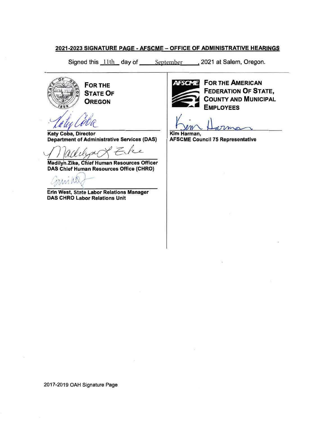#### 2021-2023 SIGNATURE PAGE - AFSCME - OFFICE OF ADMINISTRATIVE HEARINGS

Signed this 11th day of September 12021 at Salem, Oregon.

**FOR THE STATE OF OREGON** 

Katy Coba, Director **Department of Administrative Services (DAS)** 

**Madilyn Zike, Chief Human Resources Officer** DAS Chief Human Resources Office (CHRO)

Erin West, State Labor Relations Manager **DAS CHRO Labor Relations Unit** 



**AFSOME** FOR THE AMERICAN **FEDERATION OF STATE, COUNTY AND MUNICIPAL EMPLOYEES** 

Kim Harman.

**AFSCME Council 75 Representative**